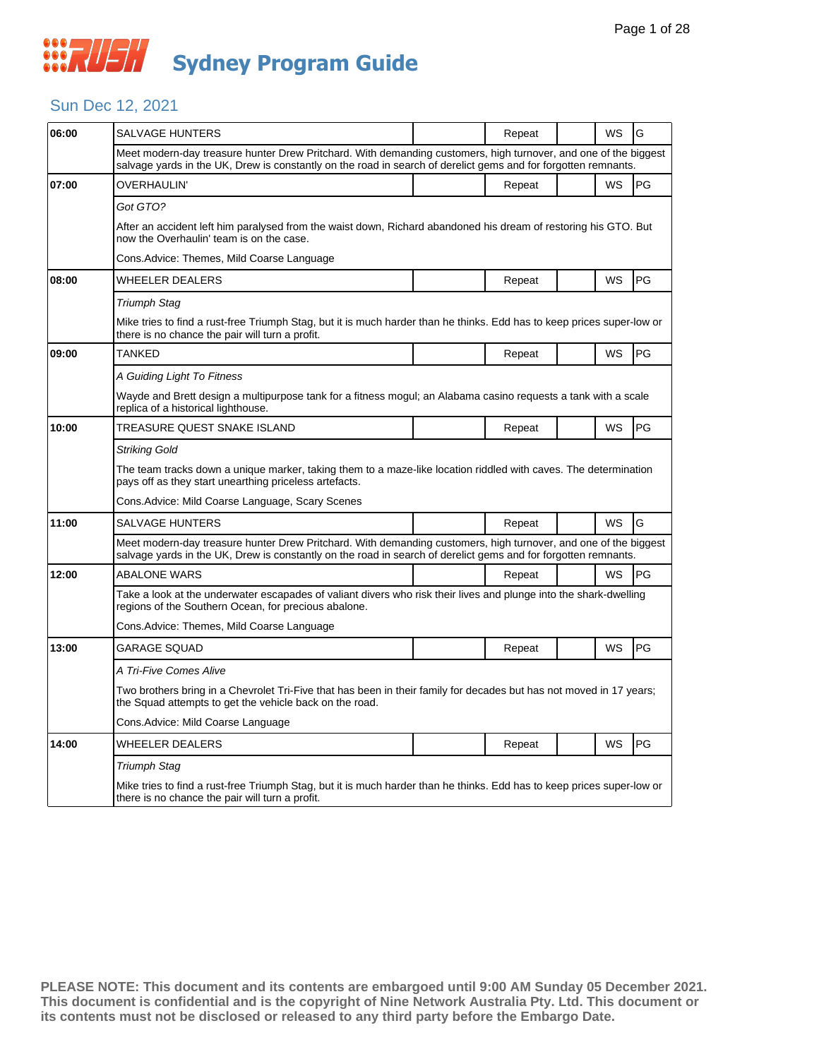## Sun Dec 12, 2021

| <b>SALVAGE HUNTERS</b>                                                                                                                                                         |  | Repeat |  | WS        | G                                                                                                                                                                                                                                                                                                                                                                                                                                                                                                                                                                                         |  |  |
|--------------------------------------------------------------------------------------------------------------------------------------------------------------------------------|--|--------|--|-----------|-------------------------------------------------------------------------------------------------------------------------------------------------------------------------------------------------------------------------------------------------------------------------------------------------------------------------------------------------------------------------------------------------------------------------------------------------------------------------------------------------------------------------------------------------------------------------------------------|--|--|
|                                                                                                                                                                                |  |        |  |           |                                                                                                                                                                                                                                                                                                                                                                                                                                                                                                                                                                                           |  |  |
| OVERHAULIN'                                                                                                                                                                    |  | Repeat |  | WS        | PG                                                                                                                                                                                                                                                                                                                                                                                                                                                                                                                                                                                        |  |  |
| Got GTO?                                                                                                                                                                       |  |        |  |           |                                                                                                                                                                                                                                                                                                                                                                                                                                                                                                                                                                                           |  |  |
| now the Overhaulin' team is on the case.                                                                                                                                       |  |        |  |           |                                                                                                                                                                                                                                                                                                                                                                                                                                                                                                                                                                                           |  |  |
| Cons. Advice: Themes, Mild Coarse Language                                                                                                                                     |  |        |  |           |                                                                                                                                                                                                                                                                                                                                                                                                                                                                                                                                                                                           |  |  |
| WHEELER DEALERS                                                                                                                                                                |  | Repeat |  | <b>WS</b> | PG                                                                                                                                                                                                                                                                                                                                                                                                                                                                                                                                                                                        |  |  |
| <b>Triumph Stag</b>                                                                                                                                                            |  |        |  |           |                                                                                                                                                                                                                                                                                                                                                                                                                                                                                                                                                                                           |  |  |
| Mike tries to find a rust-free Triumph Stag, but it is much harder than he thinks. Edd has to keep prices super-low or<br>there is no chance the pair will turn a profit.      |  |        |  |           |                                                                                                                                                                                                                                                                                                                                                                                                                                                                                                                                                                                           |  |  |
| TANKED                                                                                                                                                                         |  | Repeat |  | WS        | PG                                                                                                                                                                                                                                                                                                                                                                                                                                                                                                                                                                                        |  |  |
| A Guiding Light To Fitness                                                                                                                                                     |  |        |  |           |                                                                                                                                                                                                                                                                                                                                                                                                                                                                                                                                                                                           |  |  |
| Wayde and Brett design a multipurpose tank for a fitness mogul; an Alabama casino requests a tank with a scale<br>replica of a historical lighthouse.                          |  |        |  |           |                                                                                                                                                                                                                                                                                                                                                                                                                                                                                                                                                                                           |  |  |
| TREASURE QUEST SNAKE ISLAND                                                                                                                                                    |  | Repeat |  | <b>WS</b> | <b>PG</b>                                                                                                                                                                                                                                                                                                                                                                                                                                                                                                                                                                                 |  |  |
| <b>Striking Gold</b>                                                                                                                                                           |  |        |  |           |                                                                                                                                                                                                                                                                                                                                                                                                                                                                                                                                                                                           |  |  |
| The team tracks down a unique marker, taking them to a maze-like location riddled with caves. The determination<br>pays off as they start unearthing priceless artefacts.      |  |        |  |           |                                                                                                                                                                                                                                                                                                                                                                                                                                                                                                                                                                                           |  |  |
| Cons. Advice: Mild Coarse Language, Scary Scenes                                                                                                                               |  |        |  |           |                                                                                                                                                                                                                                                                                                                                                                                                                                                                                                                                                                                           |  |  |
| SALVAGE HUNTERS                                                                                                                                                                |  | Repeat |  | <b>WS</b> | G                                                                                                                                                                                                                                                                                                                                                                                                                                                                                                                                                                                         |  |  |
|                                                                                                                                                                                |  |        |  |           |                                                                                                                                                                                                                                                                                                                                                                                                                                                                                                                                                                                           |  |  |
| ABALONE WARS                                                                                                                                                                   |  | Repeat |  | <b>WS</b> | <b>IPG</b>                                                                                                                                                                                                                                                                                                                                                                                                                                                                                                                                                                                |  |  |
| Take a look at the underwater escapades of valiant divers who risk their lives and plunge into the shark-dwelling<br>regions of the Southern Ocean, for precious abalone.      |  |        |  |           |                                                                                                                                                                                                                                                                                                                                                                                                                                                                                                                                                                                           |  |  |
| Cons.Advice: Themes, Mild Coarse Language                                                                                                                                      |  |        |  |           |                                                                                                                                                                                                                                                                                                                                                                                                                                                                                                                                                                                           |  |  |
| GARAGE SQUAD                                                                                                                                                                   |  | Repeat |  | WS        | <b>PG</b>                                                                                                                                                                                                                                                                                                                                                                                                                                                                                                                                                                                 |  |  |
| A Tri-Five Comes Alive                                                                                                                                                         |  |        |  |           |                                                                                                                                                                                                                                                                                                                                                                                                                                                                                                                                                                                           |  |  |
| Two brothers bring in a Chevrolet Tri-Five that has been in their family for decades but has not moved in 17 years;<br>the Squad attempts to get the vehicle back on the road. |  |        |  |           |                                                                                                                                                                                                                                                                                                                                                                                                                                                                                                                                                                                           |  |  |
| Cons.Advice: Mild Coarse Language                                                                                                                                              |  |        |  |           |                                                                                                                                                                                                                                                                                                                                                                                                                                                                                                                                                                                           |  |  |
| WHEELER DEALERS                                                                                                                                                                |  | Repeat |  | <b>WS</b> | <b>PG</b>                                                                                                                                                                                                                                                                                                                                                                                                                                                                                                                                                                                 |  |  |
| <b>Triumph Stag</b>                                                                                                                                                            |  |        |  |           |                                                                                                                                                                                                                                                                                                                                                                                                                                                                                                                                                                                           |  |  |
| Mike tries to find a rust-free Triumph Stag, but it is much harder than he thinks. Edd has to keep prices super-low or<br>there is no chance the pair will turn a profit.      |  |        |  |           |                                                                                                                                                                                                                                                                                                                                                                                                                                                                                                                                                                                           |  |  |
|                                                                                                                                                                                |  |        |  |           | Meet modern-day treasure hunter Drew Pritchard. With demanding customers, high turnover, and one of the biggest<br>salvage yards in the UK, Drew is constantly on the road in search of derelict gems and for forgotten remnants.<br>After an accident left him paralysed from the waist down, Richard abandoned his dream of restoring his GTO. But<br>Meet modern-day treasure hunter Drew Pritchard. With demanding customers, high turnover, and one of the biggest<br>salvage yards in the UK, Drew is constantly on the road in search of derelict gems and for forgotten remnants. |  |  |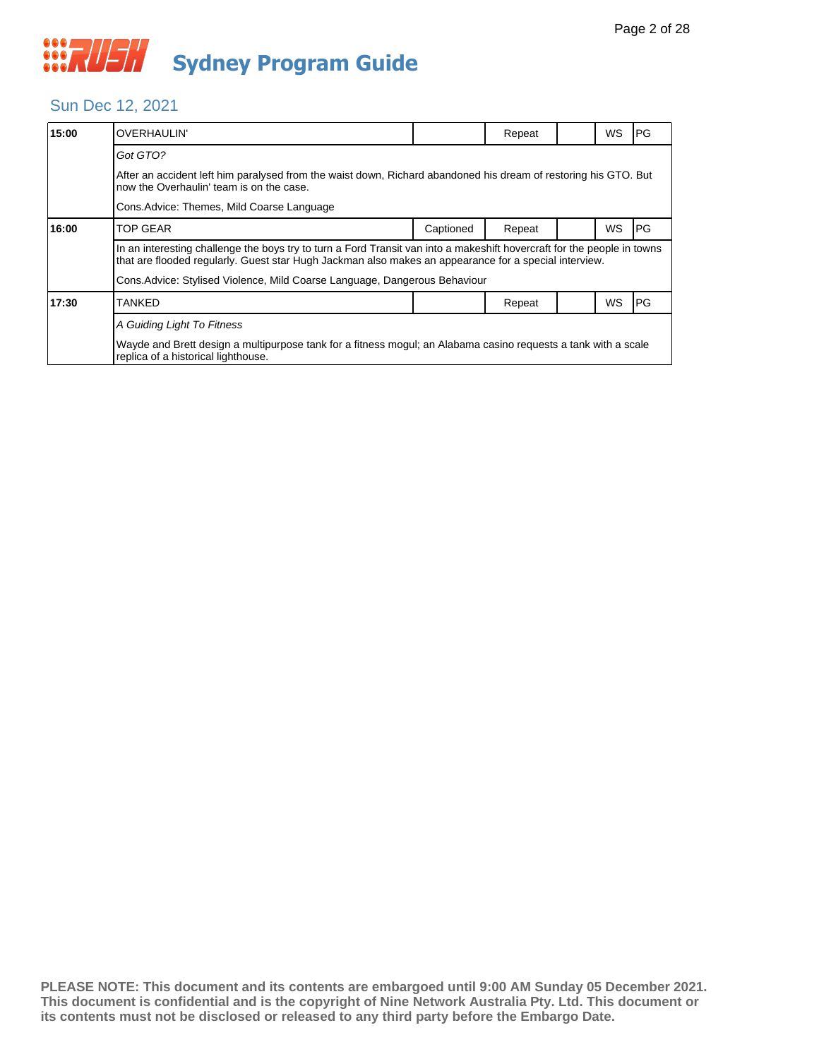#### Sun Dec 12, 2021

| 15:00                                                                                                                                                 | OVERHAULIN'                                                                                                                                                                                                                      |           | Repeat |  | WS | PG |  |
|-------------------------------------------------------------------------------------------------------------------------------------------------------|----------------------------------------------------------------------------------------------------------------------------------------------------------------------------------------------------------------------------------|-----------|--------|--|----|----|--|
|                                                                                                                                                       | Got GTO?                                                                                                                                                                                                                         |           |        |  |    |    |  |
|                                                                                                                                                       | After an accident left him paralysed from the waist down, Richard abandoned his dream of restoring his GTO. But<br>now the Overhaulin' team is on the case.                                                                      |           |        |  |    |    |  |
|                                                                                                                                                       | Cons. Advice: Themes, Mild Coarse Language                                                                                                                                                                                       |           |        |  |    |    |  |
| 16:00                                                                                                                                                 | <b>TOP GEAR</b>                                                                                                                                                                                                                  | Captioned | Repeat |  | WS | PG |  |
|                                                                                                                                                       | In an interesting challenge the boys try to turn a Ford Transit van into a makeshift hovercraft for the people in towns<br>that are flooded regularly. Guest star Hugh Jackman also makes an appearance for a special interview. |           |        |  |    |    |  |
|                                                                                                                                                       | Cons. Advice: Stylised Violence, Mild Coarse Language, Dangerous Behaviour                                                                                                                                                       |           |        |  |    |    |  |
| 17:30                                                                                                                                                 | <b>TANKED</b>                                                                                                                                                                                                                    |           | Repeat |  | WS | PG |  |
|                                                                                                                                                       | A Guiding Light To Fitness                                                                                                                                                                                                       |           |        |  |    |    |  |
| Wayde and Brett design a multipurpose tank for a fitness mogul; an Alabama casino requests a tank with a scale<br>replica of a historical lighthouse. |                                                                                                                                                                                                                                  |           |        |  |    |    |  |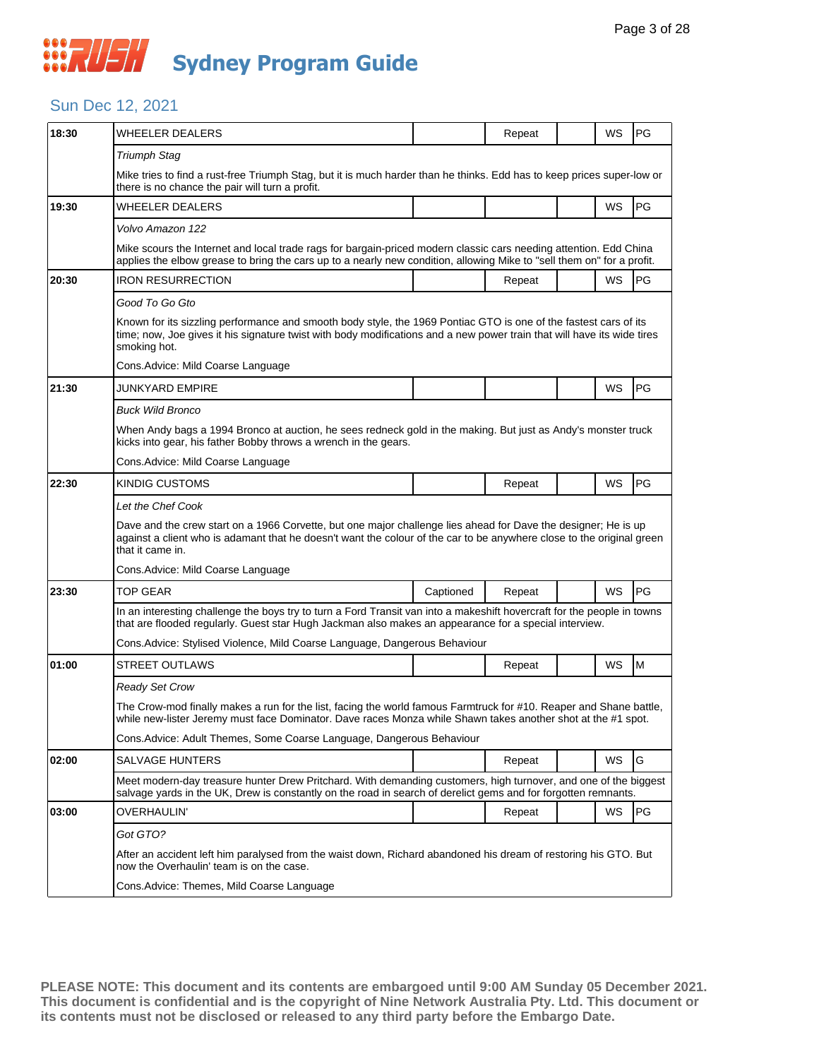#### Sun Dec 12, 2021

| 18:30 | <b>WHEELER DEALERS</b>                                                                                                                                                                                                                                      |           | Repeat |  | WS        | PG        |  |  |
|-------|-------------------------------------------------------------------------------------------------------------------------------------------------------------------------------------------------------------------------------------------------------------|-----------|--------|--|-----------|-----------|--|--|
|       | <b>Triumph Stag</b>                                                                                                                                                                                                                                         |           |        |  |           |           |  |  |
|       | Mike tries to find a rust-free Triumph Stag, but it is much harder than he thinks. Edd has to keep prices super-low or<br>there is no chance the pair will turn a profit.                                                                                   |           |        |  |           |           |  |  |
| 19:30 | WHEELER DEALERS                                                                                                                                                                                                                                             |           |        |  | WS        | PG        |  |  |
|       | Volvo Amazon 122                                                                                                                                                                                                                                            |           |        |  |           |           |  |  |
|       | Mike scours the Internet and local trade rags for bargain-priced modern classic cars needing attention. Edd China<br>applies the elbow grease to bring the cars up to a nearly new condition, allowing Mike to "sell them on" for a profit.                 |           |        |  |           |           |  |  |
| 20:30 | IRON RESURRECTION                                                                                                                                                                                                                                           |           | Repeat |  | WS        | PG        |  |  |
|       | Good To Go Gto                                                                                                                                                                                                                                              |           |        |  |           |           |  |  |
|       | Known for its sizzling performance and smooth body style, the 1969 Pontiac GTO is one of the fastest cars of its<br>time; now, Joe gives it his signature twist with body modifications and a new power train that will have its wide tires<br>smoking hot. |           |        |  |           |           |  |  |
|       | Cons. Advice: Mild Coarse Language                                                                                                                                                                                                                          |           |        |  |           |           |  |  |
| 21:30 | JUNKYARD EMPIRE                                                                                                                                                                                                                                             |           |        |  | WS        | PG        |  |  |
|       | <b>Buck Wild Bronco</b>                                                                                                                                                                                                                                     |           |        |  |           |           |  |  |
|       | When Andy bags a 1994 Bronco at auction, he sees redneck gold in the making. But just as Andy's monster truck<br>kicks into gear, his father Bobby throws a wrench in the gears.                                                                            |           |        |  |           |           |  |  |
|       | Cons. Advice: Mild Coarse Language                                                                                                                                                                                                                          |           |        |  |           |           |  |  |
| 22:30 | KINDIG CUSTOMS                                                                                                                                                                                                                                              |           | Repeat |  | WS        | PG        |  |  |
|       | Let the Chef Cook                                                                                                                                                                                                                                           |           |        |  |           |           |  |  |
|       | Dave and the crew start on a 1966 Corvette, but one major challenge lies ahead for Dave the designer; He is up<br>against a client who is adamant that he doesn't want the colour of the car to be anywhere close to the original green<br>that it came in. |           |        |  |           |           |  |  |
|       | Cons. Advice: Mild Coarse Language                                                                                                                                                                                                                          |           |        |  |           |           |  |  |
| 23:30 | <b>TOP GEAR</b>                                                                                                                                                                                                                                             | Captioned | Repeat |  | WS        | <b>PG</b> |  |  |
|       | In an interesting challenge the boys try to turn a Ford Transit van into a makeshift hovercraft for the people in towns<br>that are flooded regularly. Guest star Hugh Jackman also makes an appearance for a special interview.                            |           |        |  |           |           |  |  |
|       | Cons.Advice: Stylised Violence, Mild Coarse Language, Dangerous Behaviour                                                                                                                                                                                   |           |        |  |           |           |  |  |
| 01:00 | <b>STREET OUTLAWS</b>                                                                                                                                                                                                                                       |           | Repeat |  | WS        | M         |  |  |
|       | Ready Set Crow                                                                                                                                                                                                                                              |           |        |  |           |           |  |  |
|       | The Crow-mod finally makes a run for the list, facing the world famous Farmtruck for #10. Reaper and Shane battle,<br>while new-lister Jeremy must face Dominator. Dave races Monza while Shawn takes another shot at the #1 spot.                          |           |        |  |           |           |  |  |
|       | Cons.Advice: Adult Themes, Some Coarse Language, Dangerous Behaviour                                                                                                                                                                                        |           |        |  |           |           |  |  |
| 02:00 | <b>SALVAGE HUNTERS</b>                                                                                                                                                                                                                                      |           | Repeat |  | WS        | G         |  |  |
|       | Meet modern-day treasure hunter Drew Pritchard. With demanding customers, high turnover, and one of the biggest<br>salvage yards in the UK, Drew is constantly on the road in search of derelict gems and for forgotten remnants.                           |           |        |  |           |           |  |  |
| 03:00 | OVERHAULIN'                                                                                                                                                                                                                                                 |           | Repeat |  | <b>WS</b> | PG        |  |  |
|       | Got GTO?                                                                                                                                                                                                                                                    |           |        |  |           |           |  |  |
|       | After an accident left him paralysed from the waist down, Richard abandoned his dream of restoring his GTO. But<br>now the Overhaulin' team is on the case.                                                                                                 |           |        |  |           |           |  |  |
|       | Cons.Advice: Themes, Mild Coarse Language                                                                                                                                                                                                                   |           |        |  |           |           |  |  |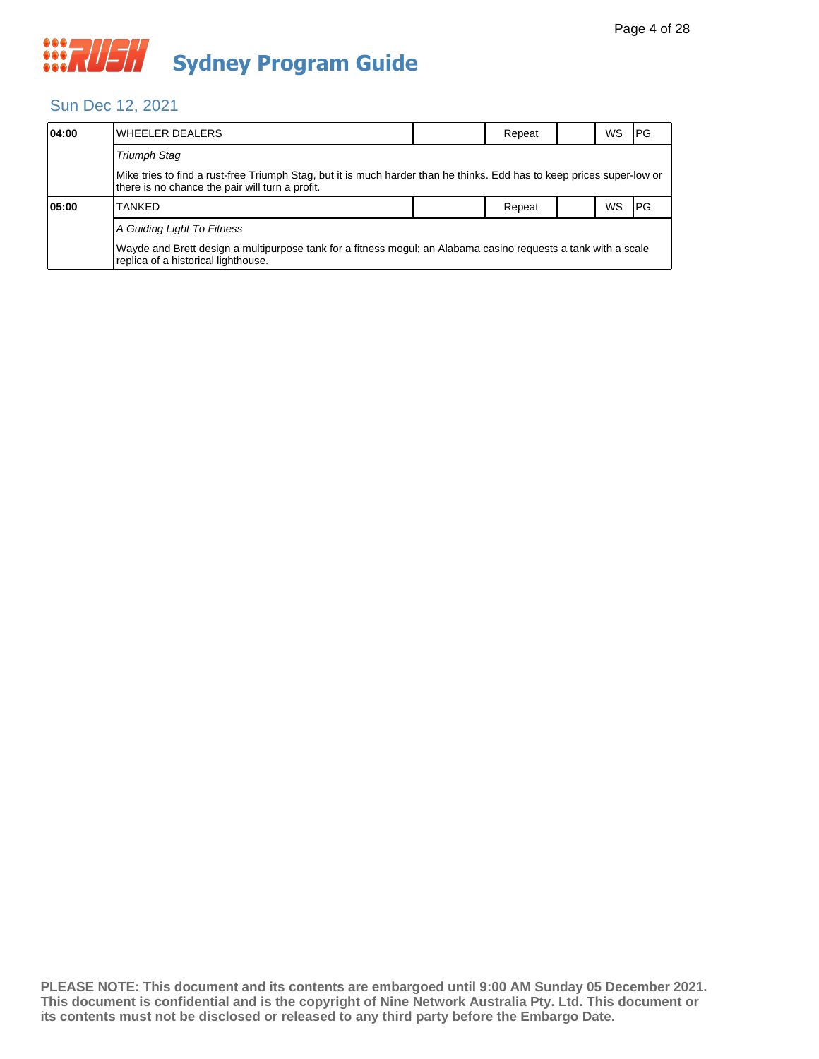#### Sun Dec 12, 2021

| 04:00                      | lWHEELER DEALERS                                                                                                                                                          |  | Repeat |  | WS | <b>IPG</b> |  |  |
|----------------------------|---------------------------------------------------------------------------------------------------------------------------------------------------------------------------|--|--------|--|----|------------|--|--|
|                            | Triumph Stag                                                                                                                                                              |  |        |  |    |            |  |  |
|                            | Mike tries to find a rust-free Triumph Stag, but it is much harder than he thinks. Edd has to keep prices super-low or<br>there is no chance the pair will turn a profit. |  |        |  |    |            |  |  |
| 05:00                      | <b>TANKFD</b>                                                                                                                                                             |  | Repeat |  | ws | <b>IPG</b> |  |  |
| A Guiding Light To Fitness |                                                                                                                                                                           |  |        |  |    |            |  |  |
|                            | Wayde and Brett design a multipurpose tank for a fitness mogul; an Alabama casino requests a tank with a scale<br>replica of a historical lighthouse.                     |  |        |  |    |            |  |  |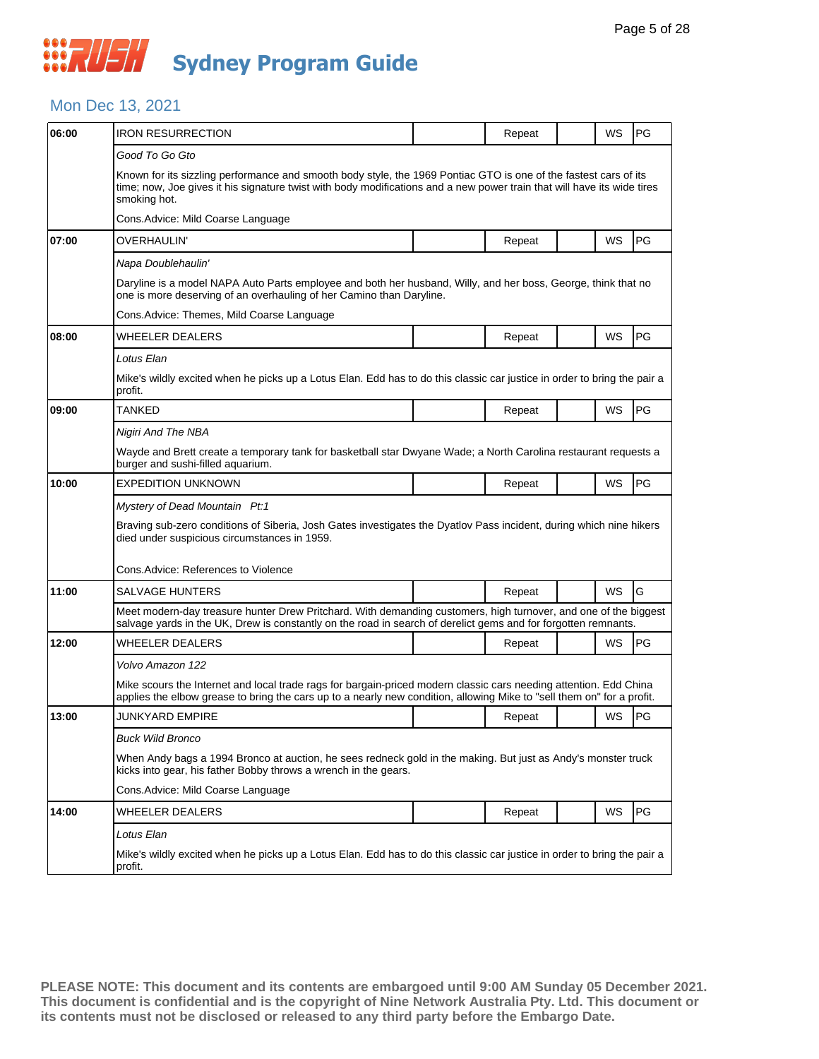#### Mon Dec 13, 2021

| 06:00 | <b>IRON RESURRECTION</b>                                                                                                                                                                                                                                    |  | Repeat | WS        | PG        |  |  |  |  |
|-------|-------------------------------------------------------------------------------------------------------------------------------------------------------------------------------------------------------------------------------------------------------------|--|--------|-----------|-----------|--|--|--|--|
|       | Good To Go Gto                                                                                                                                                                                                                                              |  |        |           |           |  |  |  |  |
|       | Known for its sizzling performance and smooth body style, the 1969 Pontiac GTO is one of the fastest cars of its<br>time; now, Joe gives it his signature twist with body modifications and a new power train that will have its wide tires<br>smoking hot. |  |        |           |           |  |  |  |  |
|       | Cons.Advice: Mild Coarse Language                                                                                                                                                                                                                           |  |        |           |           |  |  |  |  |
| 07:00 | OVERHAULIN'                                                                                                                                                                                                                                                 |  | Repeat | WS        | PG        |  |  |  |  |
|       | Napa Doublehaulin'                                                                                                                                                                                                                                          |  |        |           |           |  |  |  |  |
|       | Daryline is a model NAPA Auto Parts employee and both her husband, Willy, and her boss, George, think that no<br>one is more deserving of an overhauling of her Camino than Daryline.                                                                       |  |        |           |           |  |  |  |  |
|       | Cons.Advice: Themes, Mild Coarse Language                                                                                                                                                                                                                   |  |        |           |           |  |  |  |  |
| 08:00 | WHEELER DEALERS                                                                                                                                                                                                                                             |  | Repeat | WS        | PG        |  |  |  |  |
|       | Lotus Elan                                                                                                                                                                                                                                                  |  |        |           |           |  |  |  |  |
|       | Mike's wildly excited when he picks up a Lotus Elan. Edd has to do this classic car justice in order to bring the pair a<br>profit.                                                                                                                         |  |        |           |           |  |  |  |  |
| 09:00 | TANKED                                                                                                                                                                                                                                                      |  | Repeat | WS        | PG        |  |  |  |  |
|       | Nigiri And The NBA                                                                                                                                                                                                                                          |  |        |           |           |  |  |  |  |
|       | Wayde and Brett create a temporary tank for basketball star Dwyane Wade; a North Carolina restaurant requests a<br>burger and sushi-filled aquarium.                                                                                                        |  |        |           |           |  |  |  |  |
| 10:00 | EXPEDITION UNKNOWN                                                                                                                                                                                                                                          |  | Repeat | <b>WS</b> | PG        |  |  |  |  |
|       | Mystery of Dead Mountain Pt:1                                                                                                                                                                                                                               |  |        |           |           |  |  |  |  |
|       | Braving sub-zero conditions of Siberia, Josh Gates investigates the Dyatlov Pass incident, during which nine hikers<br>died under suspicious circumstances in 1959.                                                                                         |  |        |           |           |  |  |  |  |
|       | Cons.Advice: References to Violence                                                                                                                                                                                                                         |  |        |           |           |  |  |  |  |
| 11:00 | SALVAGE HUNTERS                                                                                                                                                                                                                                             |  | Repeat | WS        | G         |  |  |  |  |
|       | Meet modern-day treasure hunter Drew Pritchard. With demanding customers, high turnover, and one of the biggest<br>salvage yards in the UK, Drew is constantly on the road in search of derelict gems and for forgotten remnants.                           |  |        |           |           |  |  |  |  |
| 12:00 | WHEELER DEALERS                                                                                                                                                                                                                                             |  | Repeat | WS        | <b>PG</b> |  |  |  |  |
|       | Volvo Amazon 122                                                                                                                                                                                                                                            |  |        |           |           |  |  |  |  |
|       | Mike scours the Internet and local trade rags for bargain-priced modern classic cars needing attention. Edd China<br>applies the elbow grease to bring the cars up to a nearly new condition, allowing Mike to "sell them on" for a profit.                 |  |        |           |           |  |  |  |  |
| 13:00 | JUNKYARD EMPIRE                                                                                                                                                                                                                                             |  | Repeat | <b>WS</b> | <b>PG</b> |  |  |  |  |
|       | Buck Wild Bronco                                                                                                                                                                                                                                            |  |        |           |           |  |  |  |  |
|       | When Andy bags a 1994 Bronco at auction, he sees redneck gold in the making. But just as Andy's monster truck<br>kicks into gear, his father Bobby throws a wrench in the gears.                                                                            |  |        |           |           |  |  |  |  |
|       | Cons.Advice: Mild Coarse Language                                                                                                                                                                                                                           |  |        |           |           |  |  |  |  |
| 14:00 | WHEELER DEALERS                                                                                                                                                                                                                                             |  | Repeat | WS        | PG        |  |  |  |  |
|       | Lotus Elan                                                                                                                                                                                                                                                  |  |        |           |           |  |  |  |  |
|       | Mike's wildly excited when he picks up a Lotus Elan. Edd has to do this classic car justice in order to bring the pair a<br>profit.                                                                                                                         |  |        |           |           |  |  |  |  |
|       |                                                                                                                                                                                                                                                             |  |        |           |           |  |  |  |  |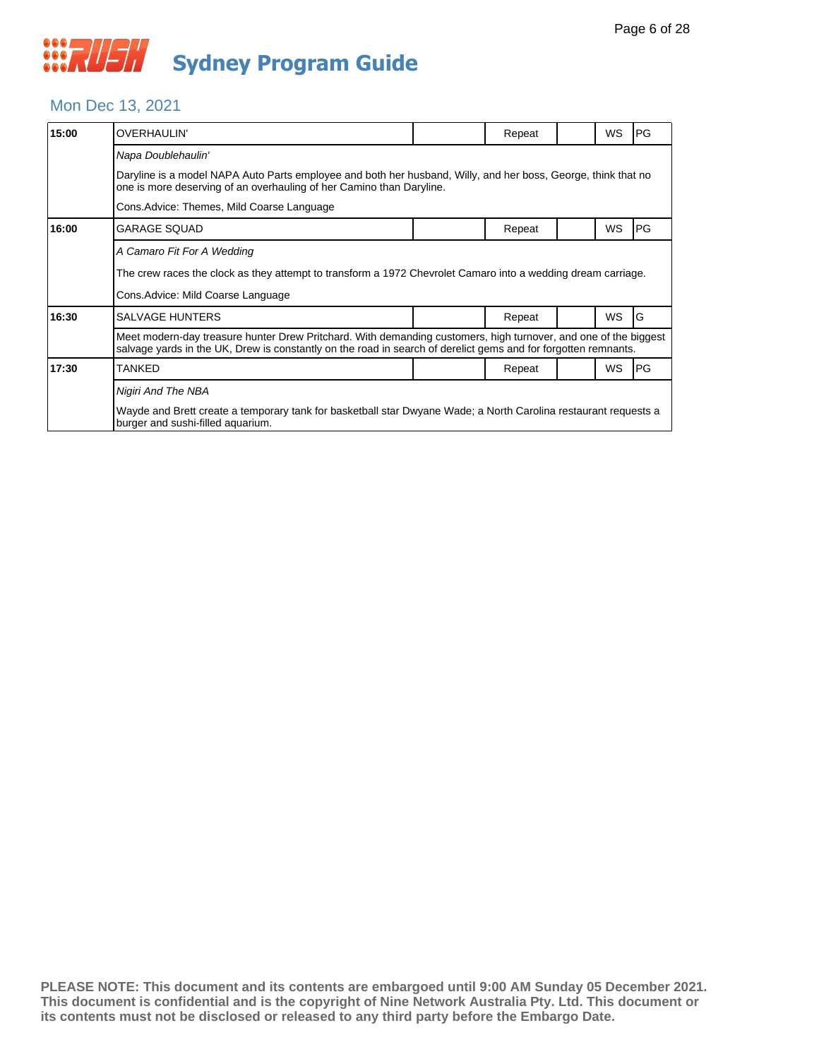#### Mon Dec 13, 2021

| 15:00 | <b>OVERHAULIN'</b>                                                                                                                                                                                                                |  | Repeat |  | <b>WS</b> | PG |  |  |
|-------|-----------------------------------------------------------------------------------------------------------------------------------------------------------------------------------------------------------------------------------|--|--------|--|-----------|----|--|--|
|       | Napa Doublehaulin'                                                                                                                                                                                                                |  |        |  |           |    |  |  |
|       | Daryline is a model NAPA Auto Parts employee and both her husband, Willy, and her boss, George, think that no<br>one is more deserving of an overhauling of her Camino than Daryline.                                             |  |        |  |           |    |  |  |
|       | Cons. Advice: Themes, Mild Coarse Language                                                                                                                                                                                        |  |        |  |           |    |  |  |
| 16:00 | <b>GARAGE SQUAD</b>                                                                                                                                                                                                               |  | Repeat |  | <b>WS</b> | PG |  |  |
|       | A Camaro Fit For A Wedding                                                                                                                                                                                                        |  |        |  |           |    |  |  |
|       | The crew races the clock as they attempt to transform a 1972 Chevrolet Camaro into a wedding dream carriage.                                                                                                                      |  |        |  |           |    |  |  |
|       | Cons. Advice: Mild Coarse Language                                                                                                                                                                                                |  |        |  |           |    |  |  |
| 16:30 | <b>SALVAGE HUNTERS</b>                                                                                                                                                                                                            |  | Repeat |  | <b>WS</b> | G  |  |  |
|       | Meet modern-day treasure hunter Drew Pritchard. With demanding customers, high turnover, and one of the biggest<br>salvage yards in the UK, Drew is constantly on the road in search of derelict gems and for forgotten remnants. |  |        |  |           |    |  |  |
| 17:30 | <b>TANKED</b>                                                                                                                                                                                                                     |  | Repeat |  | <b>WS</b> | PG |  |  |
|       | Nigiri And The NBA                                                                                                                                                                                                                |  |        |  |           |    |  |  |
|       | Wayde and Brett create a temporary tank for basketball star Dwyane Wade; a North Carolina restaurant requests a<br>burger and sushi-filled aquarium.                                                                              |  |        |  |           |    |  |  |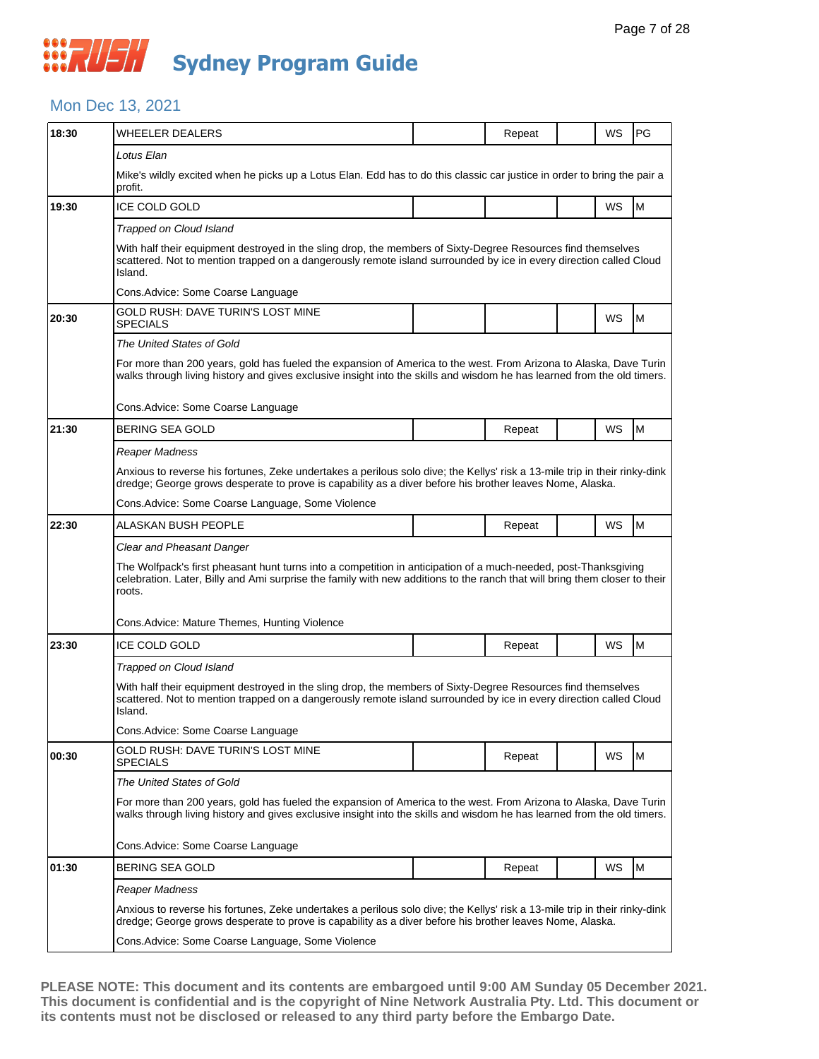#### Mon Dec 13, 2021

| 18:30 | WHEELER DEALERS                                                                                                                                                                                                                                         |  | Repeat |  | WS | PG |  |  |  |
|-------|---------------------------------------------------------------------------------------------------------------------------------------------------------------------------------------------------------------------------------------------------------|--|--------|--|----|----|--|--|--|
|       | Lotus Elan                                                                                                                                                                                                                                              |  |        |  |    |    |  |  |  |
|       | Mike's wildly excited when he picks up a Lotus Elan. Edd has to do this classic car justice in order to bring the pair a<br>profit.                                                                                                                     |  |        |  |    |    |  |  |  |
| 19:30 | ICE COLD GOLD                                                                                                                                                                                                                                           |  |        |  | WS | M  |  |  |  |
|       | Trapped on Cloud Island                                                                                                                                                                                                                                 |  |        |  |    |    |  |  |  |
|       | With half their equipment destroyed in the sling drop, the members of Sixty-Degree Resources find themselves<br>scattered. Not to mention trapped on a dangerously remote island surrounded by ice in every direction called Cloud<br>Island.           |  |        |  |    |    |  |  |  |
|       | Cons.Advice: Some Coarse Language                                                                                                                                                                                                                       |  |        |  |    |    |  |  |  |
| 20:30 | GOLD RUSH: DAVE TURIN'S LOST MINE<br><b>SPECIALS</b>                                                                                                                                                                                                    |  |        |  | WS | M  |  |  |  |
|       | The United States of Gold                                                                                                                                                                                                                               |  |        |  |    |    |  |  |  |
|       | For more than 200 years, gold has fueled the expansion of America to the west. From Arizona to Alaska, Dave Turin<br>walks through living history and gives exclusive insight into the skills and wisdom he has learned from the old timers.            |  |        |  |    |    |  |  |  |
|       | Cons.Advice: Some Coarse Language                                                                                                                                                                                                                       |  |        |  |    |    |  |  |  |
| 21:30 | <b>BERING SEA GOLD</b>                                                                                                                                                                                                                                  |  | Repeat |  | WS | M  |  |  |  |
|       | Reaper Madness                                                                                                                                                                                                                                          |  |        |  |    |    |  |  |  |
|       | Anxious to reverse his fortunes, Zeke undertakes a perilous solo dive; the Kellys' risk a 13-mile trip in their rinky-dink<br>dredge; George grows desperate to prove is capability as a diver before his brother leaves Nome, Alaska.                  |  |        |  |    |    |  |  |  |
|       | Cons. Advice: Some Coarse Language, Some Violence                                                                                                                                                                                                       |  |        |  |    |    |  |  |  |
| 22:30 | ALASKAN BUSH PEOPLE                                                                                                                                                                                                                                     |  | Repeat |  | WS | M  |  |  |  |
|       | Clear and Pheasant Danger                                                                                                                                                                                                                               |  |        |  |    |    |  |  |  |
|       | The Wolfpack's first pheasant hunt turns into a competition in anticipation of a much-needed, post-Thanksgiving<br>celebration. Later, Billy and Ami surprise the family with new additions to the ranch that will bring them closer to their<br>roots. |  |        |  |    |    |  |  |  |
|       | Cons. Advice: Mature Themes, Hunting Violence                                                                                                                                                                                                           |  |        |  |    |    |  |  |  |
| 23:30 | <b>ICE COLD GOLD</b>                                                                                                                                                                                                                                    |  | Repeat |  | WS | M  |  |  |  |
|       | Trapped on Cloud Island                                                                                                                                                                                                                                 |  |        |  |    |    |  |  |  |
|       | With half their equipment destroyed in the sling drop, the members of Sixty-Degree Resources find themselves<br>scattered. Not to mention trapped on a dangerously remote island surrounded by ice in every direction called Cloud<br>Island.           |  |        |  |    |    |  |  |  |
|       | Cons.Advice: Some Coarse Language                                                                                                                                                                                                                       |  |        |  |    |    |  |  |  |
| 00:30 | GOLD RUSH: DAVE TURIN'S LOST MINE<br><b>SPECIALS</b>                                                                                                                                                                                                    |  | Repeat |  | WS | M  |  |  |  |
|       | The United States of Gold                                                                                                                                                                                                                               |  |        |  |    |    |  |  |  |
|       | For more than 200 years, gold has fueled the expansion of America to the west. From Arizona to Alaska, Dave Turin<br>walks through living history and gives exclusive insight into the skills and wisdom he has learned from the old timers.            |  |        |  |    |    |  |  |  |
|       | Cons.Advice: Some Coarse Language                                                                                                                                                                                                                       |  |        |  |    |    |  |  |  |
| 01:30 | BERING SEA GOLD                                                                                                                                                                                                                                         |  | Repeat |  | WS | M  |  |  |  |
|       | Reaper Madness                                                                                                                                                                                                                                          |  |        |  |    |    |  |  |  |
|       | Anxious to reverse his fortunes, Zeke undertakes a perilous solo dive; the Kellys' risk a 13-mile trip in their rinky-dink<br>dredge; George grows desperate to prove is capability as a diver before his brother leaves Nome, Alaska.                  |  |        |  |    |    |  |  |  |
|       | Cons. Advice: Some Coarse Language, Some Violence                                                                                                                                                                                                       |  |        |  |    |    |  |  |  |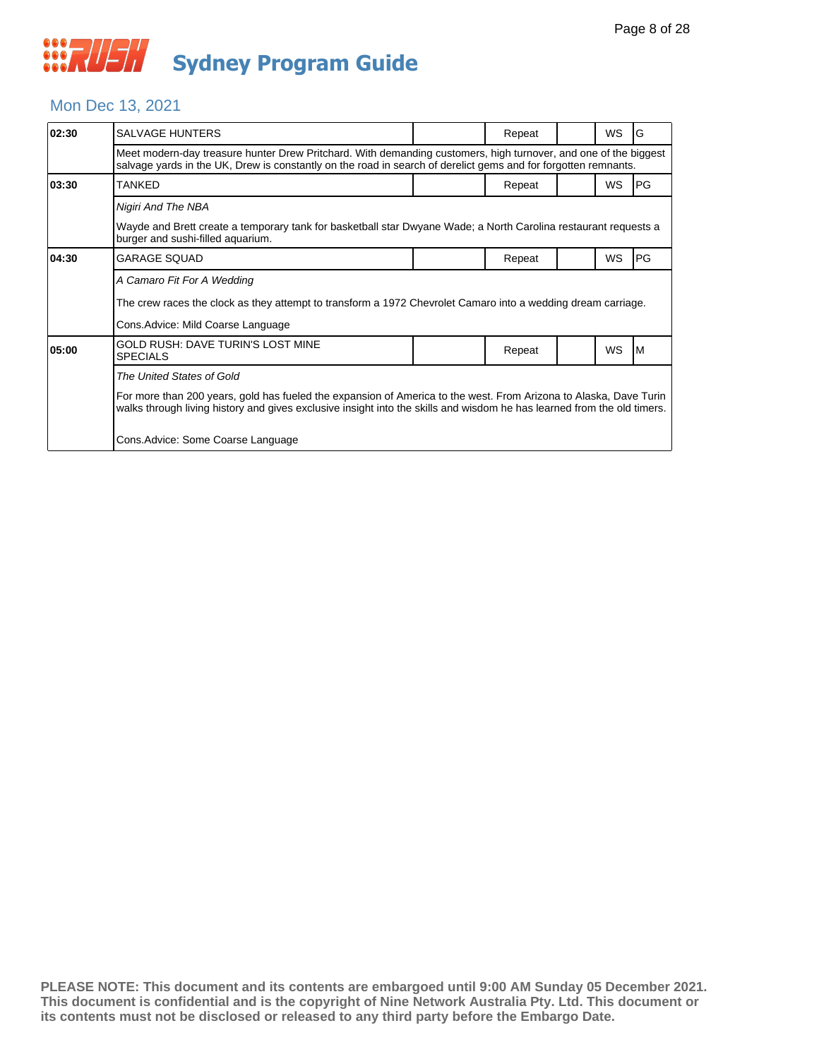#### Mon Dec 13, 2021

| 02:30 | SALVAGE HUNTERS                                                                                                                                                                                                                              |  | Repeat |  | <b>WS</b> | G  |  |  |
|-------|----------------------------------------------------------------------------------------------------------------------------------------------------------------------------------------------------------------------------------------------|--|--------|--|-----------|----|--|--|
|       | Meet modern-day treasure hunter Drew Pritchard. With demanding customers, high turnover, and one of the biggest<br>salvage yards in the UK, Drew is constantly on the road in search of derelict gems and for forgotten remnants.            |  |        |  |           |    |  |  |
| 03:30 | TANKED                                                                                                                                                                                                                                       |  | Repeat |  | <b>WS</b> | PG |  |  |
|       | Nigiri And The NBA                                                                                                                                                                                                                           |  |        |  |           |    |  |  |
|       | Wayde and Brett create a temporary tank for basketball star Dwyane Wade; a North Carolina restaurant requests a<br>burger and sushi-filled aquarium.                                                                                         |  |        |  |           |    |  |  |
| 04:30 | GARAGE SQUAD                                                                                                                                                                                                                                 |  | Repeat |  | WS        | PG |  |  |
|       | A Camaro Fit For A Wedding                                                                                                                                                                                                                   |  |        |  |           |    |  |  |
|       | The crew races the clock as they attempt to transform a 1972 Chevrolet Camaro into a wedding dream carriage.                                                                                                                                 |  |        |  |           |    |  |  |
|       | Cons.Advice: Mild Coarse Language                                                                                                                                                                                                            |  |        |  |           |    |  |  |
| 05:00 | GOLD RUSH: DAVE TURIN'S LOST MINE<br><b>SPECIALS</b>                                                                                                                                                                                         |  | Repeat |  | <b>WS</b> | ΙM |  |  |
|       | The United States of Gold                                                                                                                                                                                                                    |  |        |  |           |    |  |  |
|       | For more than 200 years, gold has fueled the expansion of America to the west. From Arizona to Alaska, Dave Turin<br>walks through living history and gives exclusive insight into the skills and wisdom he has learned from the old timers. |  |        |  |           |    |  |  |
|       | Cons. Advice: Some Coarse Language                                                                                                                                                                                                           |  |        |  |           |    |  |  |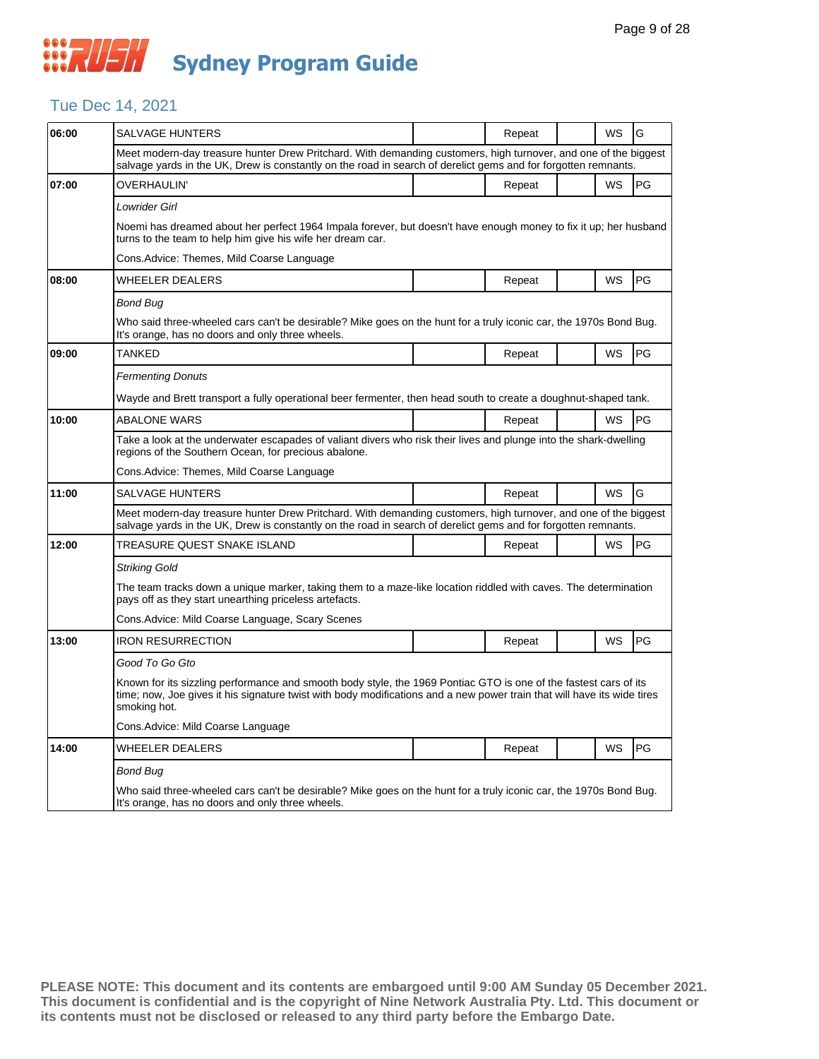## Tue Dec 14, 2021

| 06:00 | SALVAGE HUNTERS                                                                                                                                                                                                                                             |  | Repeat |  | WS        | G         |  |  |  |
|-------|-------------------------------------------------------------------------------------------------------------------------------------------------------------------------------------------------------------------------------------------------------------|--|--------|--|-----------|-----------|--|--|--|
|       | Meet modern-day treasure hunter Drew Pritchard. With demanding customers, high turnover, and one of the biggest<br>salvage yards in the UK, Drew is constantly on the road in search of derelict gems and for forgotten remnants.                           |  |        |  |           |           |  |  |  |
| 07:00 | OVERHAULIN'                                                                                                                                                                                                                                                 |  | Repeat |  | WS        | PG        |  |  |  |
|       | Lowrider Girl                                                                                                                                                                                                                                               |  |        |  |           |           |  |  |  |
|       | Noemi has dreamed about her perfect 1964 Impala forever, but doesn't have enough money to fix it up; her husband<br>turns to the team to help him give his wife her dream car.                                                                              |  |        |  |           |           |  |  |  |
|       | Cons.Advice: Themes, Mild Coarse Language                                                                                                                                                                                                                   |  |        |  |           |           |  |  |  |
| 08:00 | WHEELER DEALERS                                                                                                                                                                                                                                             |  | Repeat |  | WS        | <b>PG</b> |  |  |  |
|       | Bond Bug                                                                                                                                                                                                                                                    |  |        |  |           |           |  |  |  |
|       | Who said three-wheeled cars can't be desirable? Mike goes on the hunt for a truly iconic car, the 1970s Bond Bug.<br>It's orange, has no doors and only three wheels.                                                                                       |  |        |  |           |           |  |  |  |
| 09:00 | TANKED                                                                                                                                                                                                                                                      |  | Repeat |  | WS        | <b>PG</b> |  |  |  |
|       | <b>Fermenting Donuts</b>                                                                                                                                                                                                                                    |  |        |  |           |           |  |  |  |
|       | Wayde and Brett transport a fully operational beer fermenter, then head south to create a doughnut-shaped tank.                                                                                                                                             |  |        |  |           |           |  |  |  |
| 10:00 | <b>ABALONE WARS</b>                                                                                                                                                                                                                                         |  | Repeat |  | <b>WS</b> | <b>PG</b> |  |  |  |
|       | Take a look at the underwater escapades of valiant divers who risk their lives and plunge into the shark-dwelling<br>regions of the Southern Ocean, for precious abalone.                                                                                   |  |        |  |           |           |  |  |  |
|       | Cons.Advice: Themes, Mild Coarse Language                                                                                                                                                                                                                   |  |        |  |           |           |  |  |  |
| 11:00 | <b>SALVAGE HUNTERS</b>                                                                                                                                                                                                                                      |  | Repeat |  | <b>WS</b> | G         |  |  |  |
|       | Meet modern-day treasure hunter Drew Pritchard. With demanding customers, high turnover, and one of the biggest<br>salvage yards in the UK, Drew is constantly on the road in search of derelict gems and for forgotten remnants.                           |  |        |  |           |           |  |  |  |
| 12:00 | TREASURE QUEST SNAKE ISLAND                                                                                                                                                                                                                                 |  | Repeat |  | WS        | PG        |  |  |  |
|       | Striking Gold                                                                                                                                                                                                                                               |  |        |  |           |           |  |  |  |
|       | The team tracks down a unique marker, taking them to a maze-like location riddled with caves. The determination<br>pays off as they start unearthing priceless artefacts.                                                                                   |  |        |  |           |           |  |  |  |
|       | Cons. Advice: Mild Coarse Language, Scary Scenes                                                                                                                                                                                                            |  |        |  |           |           |  |  |  |
| 13:00 | <b>IRON RESURRECTION</b>                                                                                                                                                                                                                                    |  | Repeat |  | WS        | <b>PG</b> |  |  |  |
|       | Good To Go Gto                                                                                                                                                                                                                                              |  |        |  |           |           |  |  |  |
|       | Known for its sizzling performance and smooth body style, the 1969 Pontiac GTO is one of the fastest cars of its<br>time; now, Joe gives it his signature twist with body modifications and a new power train that will have its wide tires<br>smoking hot. |  |        |  |           |           |  |  |  |
|       | Cons.Advice: Mild Coarse Language                                                                                                                                                                                                                           |  |        |  |           |           |  |  |  |
| 14:00 | <b>WHEELER DEALERS</b>                                                                                                                                                                                                                                      |  | Repeat |  | WS        | <b>PG</b> |  |  |  |
|       | Bond Bug                                                                                                                                                                                                                                                    |  |        |  |           |           |  |  |  |
|       | Who said three-wheeled cars can't be desirable? Mike goes on the hunt for a truly iconic car, the 1970s Bond Bug.<br>It's orange, has no doors and only three wheels.                                                                                       |  |        |  |           |           |  |  |  |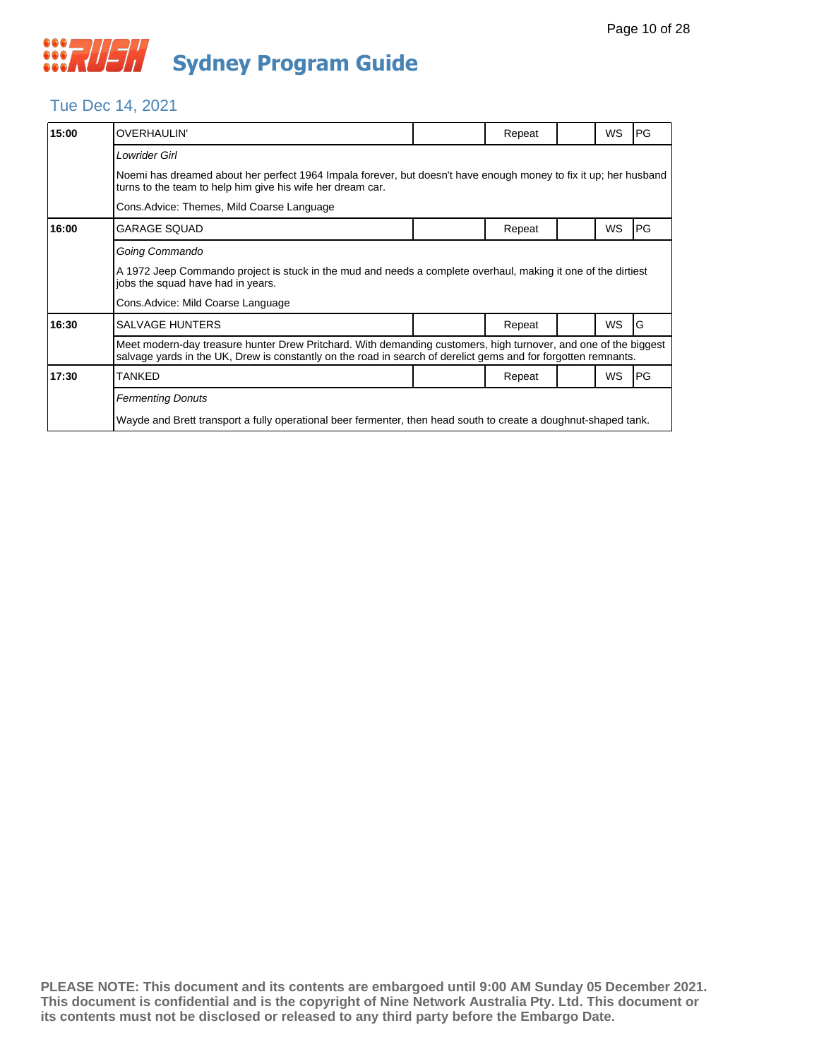#### Tue Dec 14, 2021

| 15:00 | <b>OVERHAULIN'</b>                                                                                                                                                                                                                |                                                                                                                  | Repeat |  | WS        | <b>PG</b> |  |  |  |
|-------|-----------------------------------------------------------------------------------------------------------------------------------------------------------------------------------------------------------------------------------|------------------------------------------------------------------------------------------------------------------|--------|--|-----------|-----------|--|--|--|
|       | Lowrider Girl                                                                                                                                                                                                                     |                                                                                                                  |        |  |           |           |  |  |  |
|       | turns to the team to help him give his wife her dream car.                                                                                                                                                                        | Noemi has dreamed about her perfect 1964 Impala forever, but doesn't have enough money to fix it up; her husband |        |  |           |           |  |  |  |
|       | Cons.Advice: Themes, Mild Coarse Language                                                                                                                                                                                         |                                                                                                                  |        |  |           |           |  |  |  |
| 16:00 | GARAGE SQUAD                                                                                                                                                                                                                      |                                                                                                                  | Repeat |  | WS        | PG        |  |  |  |
|       | Going Commando                                                                                                                                                                                                                    |                                                                                                                  |        |  |           |           |  |  |  |
|       | A 1972 Jeep Commando project is stuck in the mud and needs a complete overhaul, making it one of the dirtiest<br>jobs the squad have had in years.                                                                                |                                                                                                                  |        |  |           |           |  |  |  |
|       | Cons.Advice: Mild Coarse Language                                                                                                                                                                                                 |                                                                                                                  |        |  |           |           |  |  |  |
| 16:30 | <b>SALVAGE HUNTERS</b>                                                                                                                                                                                                            |                                                                                                                  | Repeat |  | <b>WS</b> | G         |  |  |  |
|       | Meet modern-day treasure hunter Drew Pritchard. With demanding customers, high turnover, and one of the biggest<br>salvage yards in the UK, Drew is constantly on the road in search of derelict gems and for forgotten remnants. |                                                                                                                  |        |  |           |           |  |  |  |
| 17:30 | TANKED                                                                                                                                                                                                                            |                                                                                                                  | Repeat |  | WS        | PG        |  |  |  |
|       | <b>Fermenting Donuts</b>                                                                                                                                                                                                          |                                                                                                                  |        |  |           |           |  |  |  |
|       | Wayde and Brett transport a fully operational beer fermenter, then head south to create a doughnut-shaped tank.                                                                                                                   |                                                                                                                  |        |  |           |           |  |  |  |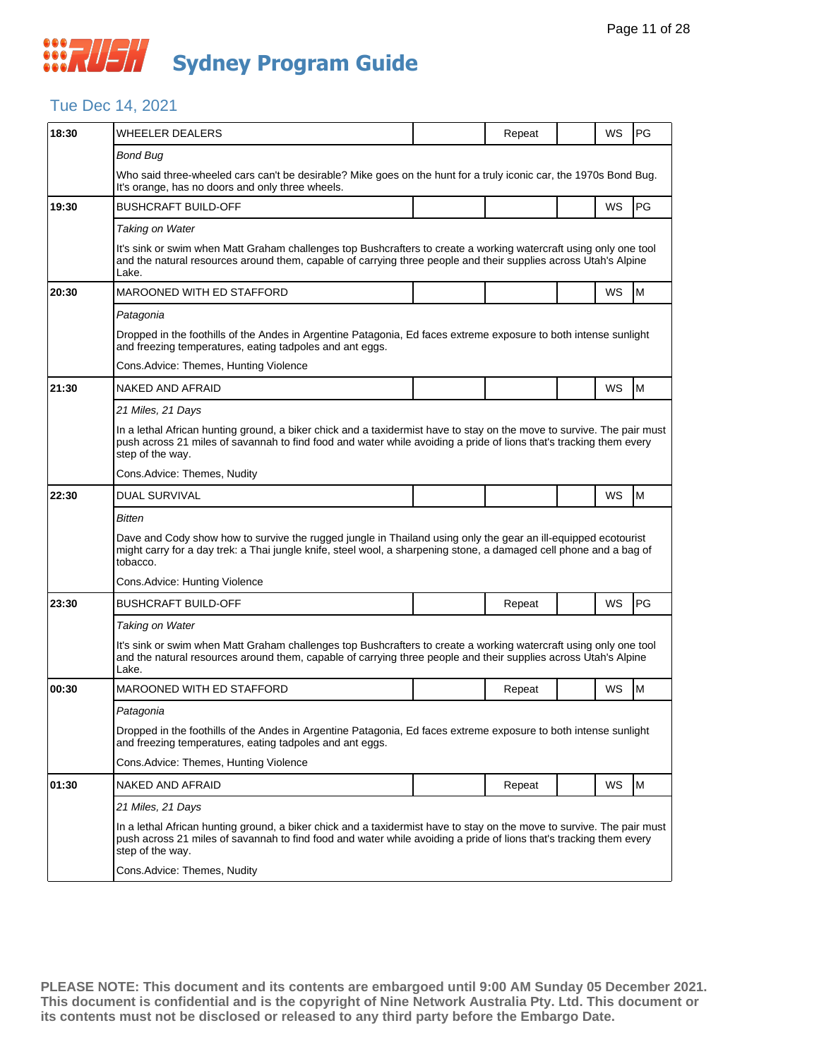## Tue Dec 14, 2021

| 18:30 | <b>WHEELER DEALERS</b>                                                                                                                                                                                                                                           |  | Repeat |  | WS        | <b>PG</b> |  |  |
|-------|------------------------------------------------------------------------------------------------------------------------------------------------------------------------------------------------------------------------------------------------------------------|--|--------|--|-----------|-----------|--|--|
|       | <b>Bond Bug</b>                                                                                                                                                                                                                                                  |  |        |  |           |           |  |  |
|       | Who said three-wheeled cars can't be desirable? Mike goes on the hunt for a truly iconic car, the 1970s Bond Bug.<br>It's orange, has no doors and only three wheels.                                                                                            |  |        |  |           |           |  |  |
| 19:30 | <b>BUSHCRAFT BUILD-OFF</b>                                                                                                                                                                                                                                       |  |        |  | <b>WS</b> | PG        |  |  |
|       | Taking on Water                                                                                                                                                                                                                                                  |  |        |  |           |           |  |  |
|       | It's sink or swim when Matt Graham challenges top Bushcrafters to create a working watercraft using only one tool<br>and the natural resources around them, capable of carrying three people and their supplies across Utah's Alpine<br>Lake.                    |  |        |  |           |           |  |  |
| 20:30 | <b>MAROONED WITH ED STAFFORD</b>                                                                                                                                                                                                                                 |  |        |  | WS        | M         |  |  |
|       | Patagonia                                                                                                                                                                                                                                                        |  |        |  |           |           |  |  |
|       | Dropped in the foothills of the Andes in Argentine Patagonia, Ed faces extreme exposure to both intense sunlight<br>and freezing temperatures, eating tadpoles and ant eggs.                                                                                     |  |        |  |           |           |  |  |
|       | Cons.Advice: Themes, Hunting Violence                                                                                                                                                                                                                            |  |        |  |           |           |  |  |
| 21:30 | <b>NAKED AND AFRAID</b>                                                                                                                                                                                                                                          |  |        |  | WS        | M         |  |  |
|       | 21 Miles, 21 Days                                                                                                                                                                                                                                                |  |        |  |           |           |  |  |
|       | In a lethal African hunting ground, a biker chick and a taxidermist have to stay on the move to survive. The pair must<br>push across 21 miles of savannah to find food and water while avoiding a pride of lions that's tracking them every<br>step of the way. |  |        |  |           |           |  |  |
|       | Cons.Advice: Themes, Nudity                                                                                                                                                                                                                                      |  |        |  |           |           |  |  |
| 22:30 | <b>DUAL SURVIVAL</b>                                                                                                                                                                                                                                             |  |        |  | WS        | M         |  |  |
|       | Bitten                                                                                                                                                                                                                                                           |  |        |  |           |           |  |  |
|       | Dave and Cody show how to survive the rugged jungle in Thailand using only the gear an ill-equipped ecotourist<br>might carry for a day trek: a Thai jungle knife, steel wool, a sharpening stone, a damaged cell phone and a bag of<br>tobacco.                 |  |        |  |           |           |  |  |
|       | Cons.Advice: Hunting Violence                                                                                                                                                                                                                                    |  |        |  |           |           |  |  |
| 23:30 | BUSHCRAFT BUILD-OFF                                                                                                                                                                                                                                              |  | Repeat |  | WS        | <b>PG</b> |  |  |
|       | Taking on Water                                                                                                                                                                                                                                                  |  |        |  |           |           |  |  |
|       | It's sink or swim when Matt Graham challenges top Bushcrafters to create a working watercraft using only one tool<br>and the natural resources around them, capable of carrying three people and their supplies across Utah's Alpine<br>Lake.                    |  |        |  |           |           |  |  |
| 00:30 | <b>MAROONED WITH ED STAFFORD</b>                                                                                                                                                                                                                                 |  | Repeat |  | WS        | M         |  |  |
|       | Patagonia                                                                                                                                                                                                                                                        |  |        |  |           |           |  |  |
|       | Dropped in the foothills of the Andes in Argentine Patagonia, Ed faces extreme exposure to both intense sunlight<br>and freezing temperatures, eating tadpoles and ant eggs.                                                                                     |  |        |  |           |           |  |  |
|       | Cons.Advice: Themes, Hunting Violence                                                                                                                                                                                                                            |  |        |  |           |           |  |  |
| 01:30 | NAKED AND AFRAID                                                                                                                                                                                                                                                 |  | Repeat |  | WS        | M         |  |  |
|       | 21 Miles, 21 Days                                                                                                                                                                                                                                                |  |        |  |           |           |  |  |
|       | In a lethal African hunting ground, a biker chick and a taxidermist have to stay on the move to survive. The pair must<br>push across 21 miles of savannah to find food and water while avoiding a pride of lions that's tracking them every<br>step of the way. |  |        |  |           |           |  |  |
|       | Cons.Advice: Themes, Nudity                                                                                                                                                                                                                                      |  |        |  |           |           |  |  |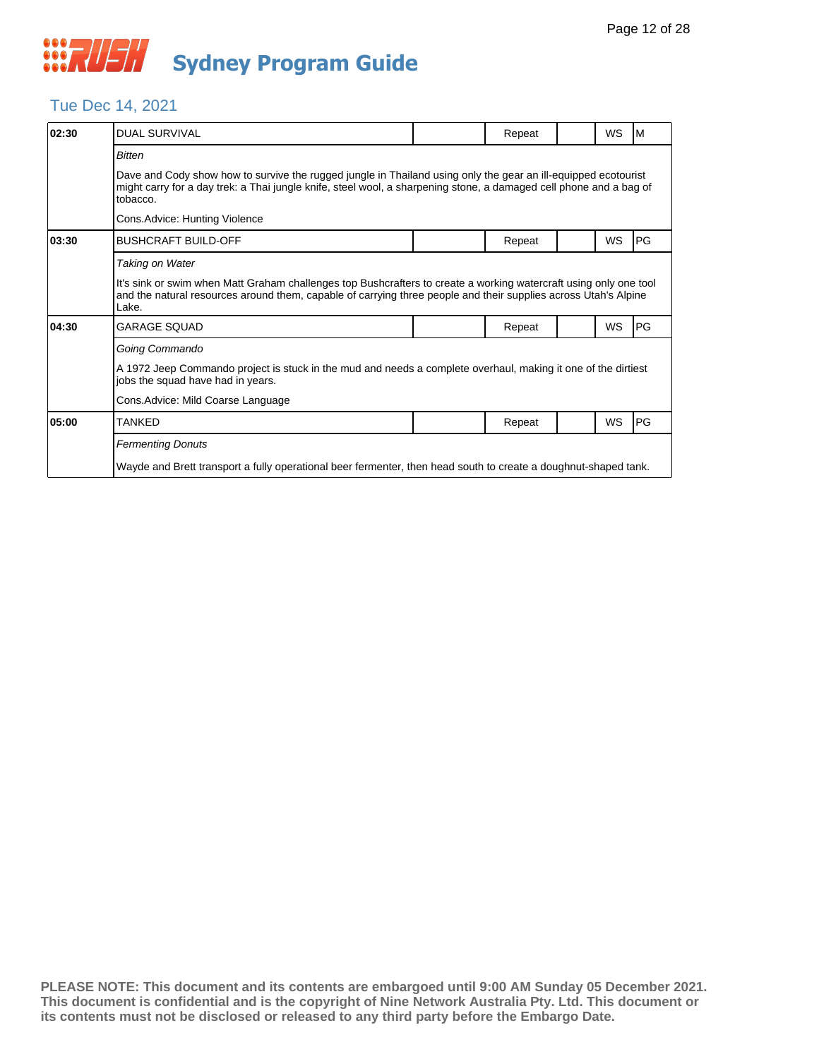#### Tue Dec 14, 2021

| 02:30 | <b>DUAL SURVIVAL</b>                                                                                                                                                                                                                             |  | Repeat |  | <b>WS</b> | IM.        |  |  |
|-------|--------------------------------------------------------------------------------------------------------------------------------------------------------------------------------------------------------------------------------------------------|--|--------|--|-----------|------------|--|--|
|       | <b>Bitten</b>                                                                                                                                                                                                                                    |  |        |  |           |            |  |  |
|       | Dave and Cody show how to survive the rugged jungle in Thailand using only the gear an ill-equipped ecotourist<br>might carry for a day trek: a Thai jungle knife, steel wool, a sharpening stone, a damaged cell phone and a bag of<br>tobacco. |  |        |  |           |            |  |  |
|       | Cons.Advice: Hunting Violence                                                                                                                                                                                                                    |  |        |  |           |            |  |  |
| 03:30 | <b>BUSHCRAFT BUILD-OFF</b>                                                                                                                                                                                                                       |  | Repeat |  | <b>WS</b> | <b>IPG</b> |  |  |
|       | Taking on Water                                                                                                                                                                                                                                  |  |        |  |           |            |  |  |
|       | It's sink or swim when Matt Graham challenges top Bushcrafters to create a working watercraft using only one tool<br>and the natural resources around them, capable of carrying three people and their supplies across Utah's Alpine<br>Lake.    |  |        |  |           |            |  |  |
| 04:30 | GARAGE SQUAD                                                                                                                                                                                                                                     |  | Repeat |  | WS        | <b>IPG</b> |  |  |
|       | Going Commando                                                                                                                                                                                                                                   |  |        |  |           |            |  |  |
|       | A 1972 Jeep Commando project is stuck in the mud and needs a complete overhaul, making it one of the dirtiest<br>jobs the squad have had in years.                                                                                               |  |        |  |           |            |  |  |
|       | Cons.Advice: Mild Coarse Language                                                                                                                                                                                                                |  |        |  |           |            |  |  |
| 05:00 | TANKED                                                                                                                                                                                                                                           |  | Repeat |  | WS        | <b>IPG</b> |  |  |
|       | <b>Fermenting Donuts</b>                                                                                                                                                                                                                         |  |        |  |           |            |  |  |
|       | Wayde and Brett transport a fully operational beer fermenter, then head south to create a doughnut-shaped tank.                                                                                                                                  |  |        |  |           |            |  |  |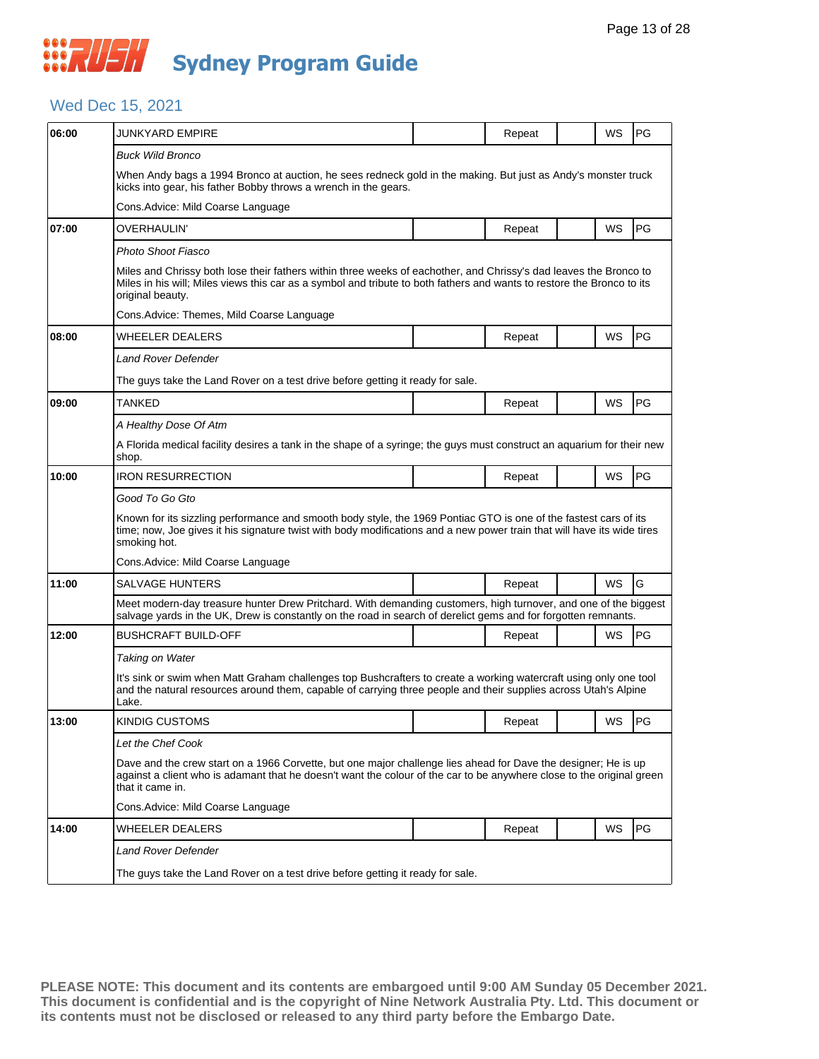#### Wed Dec 15, 2021

| 06:00 | JUNKYARD EMPIRE                                                                                                                                                                                                                                                 |  | Repeat |  | WS        | <b>PG</b> |  |  |
|-------|-----------------------------------------------------------------------------------------------------------------------------------------------------------------------------------------------------------------------------------------------------------------|--|--------|--|-----------|-----------|--|--|
|       | <b>Buck Wild Bronco</b>                                                                                                                                                                                                                                         |  |        |  |           |           |  |  |
|       | When Andy bags a 1994 Bronco at auction, he sees redneck gold in the making. But just as Andy's monster truck<br>kicks into gear, his father Bobby throws a wrench in the gears.                                                                                |  |        |  |           |           |  |  |
|       | Cons.Advice: Mild Coarse Language                                                                                                                                                                                                                               |  |        |  |           |           |  |  |
| 07:00 | OVERHAULIN'                                                                                                                                                                                                                                                     |  | Repeat |  | WS        | PG        |  |  |
|       | Photo Shoot Fiasco                                                                                                                                                                                                                                              |  |        |  |           |           |  |  |
|       | Miles and Chrissy both lose their fathers within three weeks of eachother, and Chrissy's dad leaves the Bronco to<br>Miles in his will; Miles views this car as a symbol and tribute to both fathers and wants to restore the Bronco to its<br>original beauty. |  |        |  |           |           |  |  |
|       | Cons.Advice: Themes, Mild Coarse Language                                                                                                                                                                                                                       |  |        |  |           |           |  |  |
| 08:00 | WHEELER DEALERS                                                                                                                                                                                                                                                 |  | Repeat |  | WS        | PG        |  |  |
|       | Land Rover Defender                                                                                                                                                                                                                                             |  |        |  |           |           |  |  |
|       | The guys take the Land Rover on a test drive before getting it ready for sale.                                                                                                                                                                                  |  |        |  |           |           |  |  |
| 09:00 | TANKED                                                                                                                                                                                                                                                          |  | Repeat |  | WS        | <b>PG</b> |  |  |
|       | A Healthy Dose Of Atm                                                                                                                                                                                                                                           |  |        |  |           |           |  |  |
|       | A Florida medical facility desires a tank in the shape of a syringe; the guys must construct an aquarium for their new<br>shop.                                                                                                                                 |  |        |  |           |           |  |  |
| 10:00 | <b>IRON RESURRECTION</b>                                                                                                                                                                                                                                        |  | Repeat |  | <b>WS</b> | PG        |  |  |
|       | Good To Go Gto                                                                                                                                                                                                                                                  |  |        |  |           |           |  |  |
|       | Known for its sizzling performance and smooth body style, the 1969 Pontiac GTO is one of the fastest cars of its<br>time; now, Joe gives it his signature twist with body modifications and a new power train that will have its wide tires<br>smoking hot.     |  |        |  |           |           |  |  |
|       |                                                                                                                                                                                                                                                                 |  |        |  |           |           |  |  |
|       | Cons. Advice: Mild Coarse Language                                                                                                                                                                                                                              |  |        |  |           |           |  |  |
| 11:00 | <b>SALVAGE HUNTERS</b>                                                                                                                                                                                                                                          |  | Repeat |  | WS        | G         |  |  |
|       | Meet modern-day treasure hunter Drew Pritchard. With demanding customers, high turnover, and one of the biggest<br>salvage yards in the UK, Drew is constantly on the road in search of derelict gems and for forgotten remnants.                               |  |        |  |           |           |  |  |
| 12:00 | <b>BUSHCRAFT BUILD-OFF</b>                                                                                                                                                                                                                                      |  | Repeat |  | WS        | <b>PG</b> |  |  |
|       | Taking on Water                                                                                                                                                                                                                                                 |  |        |  |           |           |  |  |
|       | It's sink or swim when Matt Graham challenges top Bushcrafters to create a working watercraft using only one tool<br>and the natural resources around them, capable of carrying three people and their supplies across Utah's Alpine<br>Lake.                   |  |        |  |           |           |  |  |
| 13:00 | <b>KINDIG CUSTOMS</b>                                                                                                                                                                                                                                           |  | Repeat |  | WS        | PG        |  |  |
|       | Let the Chef Cook                                                                                                                                                                                                                                               |  |        |  |           |           |  |  |
|       | Dave and the crew start on a 1966 Corvette, but one major challenge lies ahead for Dave the designer; He is up<br>against a client who is adamant that he doesn't want the colour of the car to be anywhere close to the original green<br>that it came in.     |  |        |  |           |           |  |  |
|       | Cons.Advice: Mild Coarse Language                                                                                                                                                                                                                               |  |        |  |           |           |  |  |
| 14:00 | <b>WHEELER DEALERS</b>                                                                                                                                                                                                                                          |  | Repeat |  | WS        | PG        |  |  |
|       | Land Rover Defender                                                                                                                                                                                                                                             |  |        |  |           |           |  |  |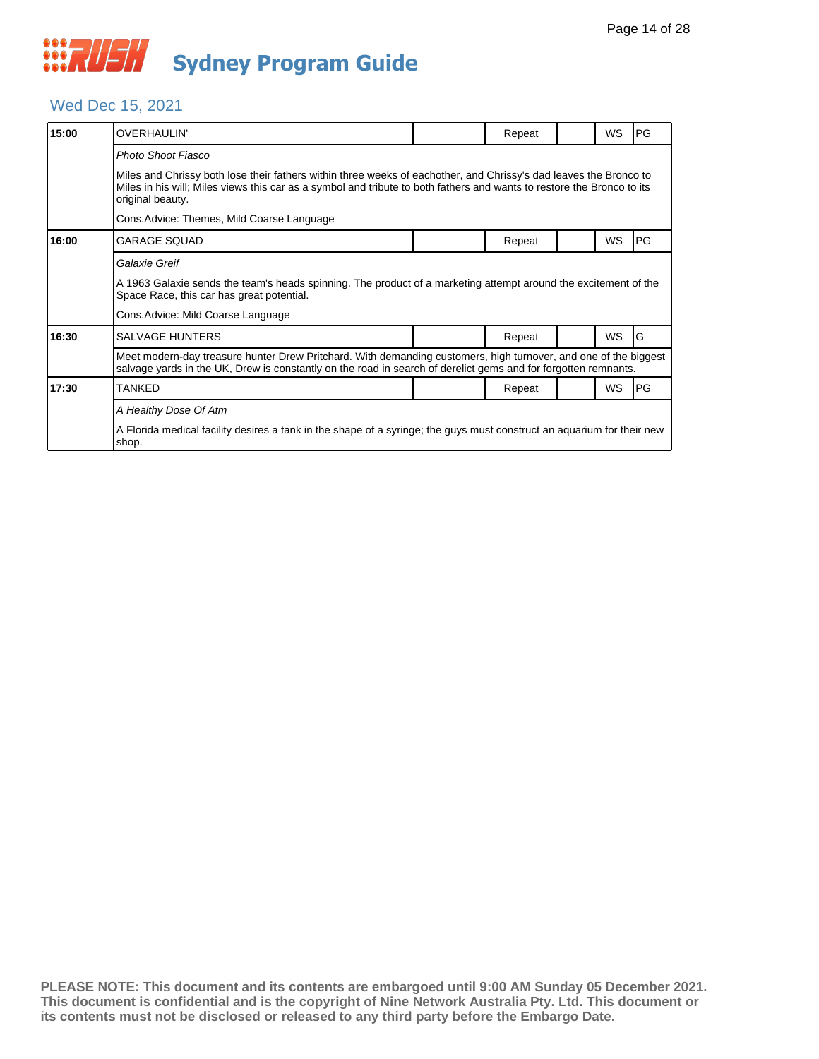#### Wed Dec 15, 2021

| 15:00 | OVERHAULIN'                                                                                                                                                                                                                                                     |  | Repeat |  | <b>WS</b> | <b>PG</b>  |  |  |  |
|-------|-----------------------------------------------------------------------------------------------------------------------------------------------------------------------------------------------------------------------------------------------------------------|--|--------|--|-----------|------------|--|--|--|
|       | Photo Shoot Fiasco                                                                                                                                                                                                                                              |  |        |  |           |            |  |  |  |
|       | Miles and Chrissy both lose their fathers within three weeks of eachother, and Chrissy's dad leaves the Bronco to<br>Miles in his will; Miles views this car as a symbol and tribute to both fathers and wants to restore the Bronco to its<br>original beauty. |  |        |  |           |            |  |  |  |
|       | Cons.Advice: Themes, Mild Coarse Language                                                                                                                                                                                                                       |  |        |  |           |            |  |  |  |
| 16:00 | <b>GARAGE SQUAD</b>                                                                                                                                                                                                                                             |  | Repeat |  | <b>WS</b> | <b>IPG</b> |  |  |  |
|       | Galaxie Greif                                                                                                                                                                                                                                                   |  |        |  |           |            |  |  |  |
|       | A 1963 Galaxie sends the team's heads spinning. The product of a marketing attempt around the excitement of the<br>Space Race, this car has great potential.                                                                                                    |  |        |  |           |            |  |  |  |
|       | Cons.Advice: Mild Coarse Language                                                                                                                                                                                                                               |  |        |  |           |            |  |  |  |
| 16:30 | SALVAGE HUNTERS                                                                                                                                                                                                                                                 |  | Repeat |  | <b>WS</b> | lG         |  |  |  |
|       | Meet modern-day treasure hunter Drew Pritchard. With demanding customers, high turnover, and one of the biggest<br>salvage yards in the UK, Drew is constantly on the road in search of derelict gems and for forgotten remnants.                               |  |        |  |           |            |  |  |  |
| 17:30 | TANKED                                                                                                                                                                                                                                                          |  | Repeat |  | WS        | <b>IPG</b> |  |  |  |
|       | A Healthy Dose Of Atm                                                                                                                                                                                                                                           |  |        |  |           |            |  |  |  |
|       | A Florida medical facility desires a tank in the shape of a syringe; the guys must construct an aquarium for their new<br>shop.                                                                                                                                 |  |        |  |           |            |  |  |  |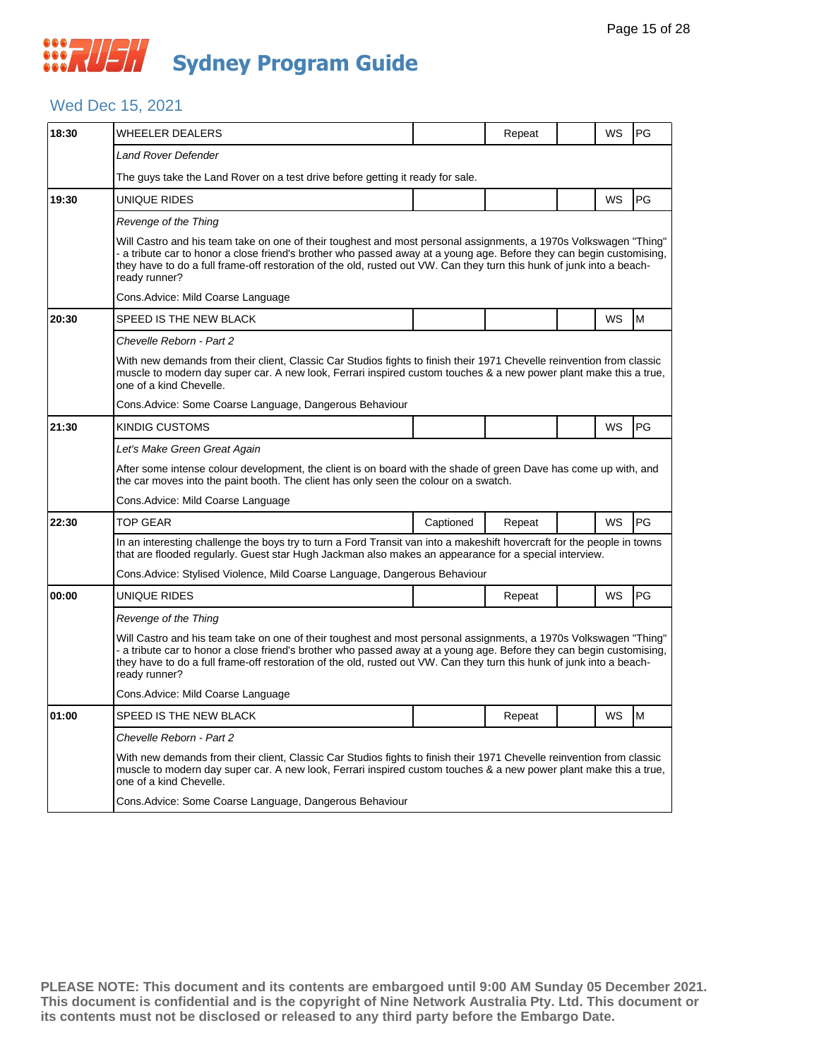#### Wed Dec 15, 2021

| 18:30 | WHEELER DEALERS                                                                                                                                                                                                                                                                                                                                                                    |           | Repeat |  | WS        | PG |  |  |
|-------|------------------------------------------------------------------------------------------------------------------------------------------------------------------------------------------------------------------------------------------------------------------------------------------------------------------------------------------------------------------------------------|-----------|--------|--|-----------|----|--|--|
|       | Land Rover Defender                                                                                                                                                                                                                                                                                                                                                                |           |        |  |           |    |  |  |
|       | The guys take the Land Rover on a test drive before getting it ready for sale.                                                                                                                                                                                                                                                                                                     |           |        |  |           |    |  |  |
| 19:30 | UNIQUE RIDES                                                                                                                                                                                                                                                                                                                                                                       |           |        |  | WS        | PG |  |  |
|       | Revenge of the Thing                                                                                                                                                                                                                                                                                                                                                               |           |        |  |           |    |  |  |
|       | Will Castro and his team take on one of their toughest and most personal assignments, a 1970s Volkswagen "Thing"<br>- a tribute car to honor a close friend's brother who passed away at a young age. Before they can begin customising,<br>they have to do a full frame-off restoration of the old, rusted out VW. Can they turn this hunk of junk into a beach-<br>ready runner? |           |        |  |           |    |  |  |
|       | Cons.Advice: Mild Coarse Language                                                                                                                                                                                                                                                                                                                                                  |           |        |  |           |    |  |  |
| 20:30 | SPEED IS THE NEW BLACK                                                                                                                                                                                                                                                                                                                                                             |           |        |  | WS        | M  |  |  |
|       | Chevelle Reborn - Part 2                                                                                                                                                                                                                                                                                                                                                           |           |        |  |           |    |  |  |
|       | With new demands from their client, Classic Car Studios fights to finish their 1971 Chevelle reinvention from classic<br>muscle to modern day super car. A new look, Ferrari inspired custom touches & a new power plant make this a true,<br>one of a kind Chevelle.                                                                                                              |           |        |  |           |    |  |  |
|       | Cons.Advice: Some Coarse Language, Dangerous Behaviour                                                                                                                                                                                                                                                                                                                             |           |        |  |           |    |  |  |
| 21:30 | <b>KINDIG CUSTOMS</b>                                                                                                                                                                                                                                                                                                                                                              |           |        |  | WS        | PG |  |  |
|       | Let's Make Green Great Again                                                                                                                                                                                                                                                                                                                                                       |           |        |  |           |    |  |  |
|       | After some intense colour development, the client is on board with the shade of green Dave has come up with, and<br>the car moves into the paint booth. The client has only seen the colour on a swatch.                                                                                                                                                                           |           |        |  |           |    |  |  |
|       | Cons.Advice: Mild Coarse Language                                                                                                                                                                                                                                                                                                                                                  |           |        |  |           |    |  |  |
| 22:30 | <b>TOP GEAR</b>                                                                                                                                                                                                                                                                                                                                                                    | Captioned | Repeat |  | <b>WS</b> | PG |  |  |
|       | In an interesting challenge the boys try to turn a Ford Transit van into a makeshift hovercraft for the people in towns<br>that are flooded regularly. Guest star Hugh Jackman also makes an appearance for a special interview.                                                                                                                                                   |           |        |  |           |    |  |  |
|       | Cons. Advice: Stylised Violence, Mild Coarse Language, Dangerous Behaviour                                                                                                                                                                                                                                                                                                         |           |        |  |           |    |  |  |
| 00:00 | UNIQUE RIDES                                                                                                                                                                                                                                                                                                                                                                       |           | Repeat |  | <b>WS</b> | PG |  |  |
|       | Revenge of the Thing                                                                                                                                                                                                                                                                                                                                                               |           |        |  |           |    |  |  |
|       | Will Castro and his team take on one of their toughest and most personal assignments, a 1970s Volkswagen "Thing"<br>- a tribute car to honor a close friend's brother who passed away at a young age. Before they can begin customising,<br>they have to do a full frame-off restoration of the old, rusted out VW. Can they turn this hunk of junk into a beach-<br>ready runner? |           |        |  |           |    |  |  |
|       | Cons. Advice: Mild Coarse Language                                                                                                                                                                                                                                                                                                                                                 |           |        |  |           |    |  |  |
| 01:00 | SPEED IS THE NEW BLACK                                                                                                                                                                                                                                                                                                                                                             |           | Repeat |  | WS        | M  |  |  |
|       | Chevelle Reborn - Part 2                                                                                                                                                                                                                                                                                                                                                           |           |        |  |           |    |  |  |
|       | With new demands from their client, Classic Car Studios fights to finish their 1971 Chevelle reinvention from classic<br>muscle to modern day super car. A new look, Ferrari inspired custom touches & a new power plant make this a true,<br>one of a kind Chevelle.                                                                                                              |           |        |  |           |    |  |  |
|       | Cons.Advice: Some Coarse Language, Dangerous Behaviour                                                                                                                                                                                                                                                                                                                             |           |        |  |           |    |  |  |
|       |                                                                                                                                                                                                                                                                                                                                                                                    |           |        |  |           |    |  |  |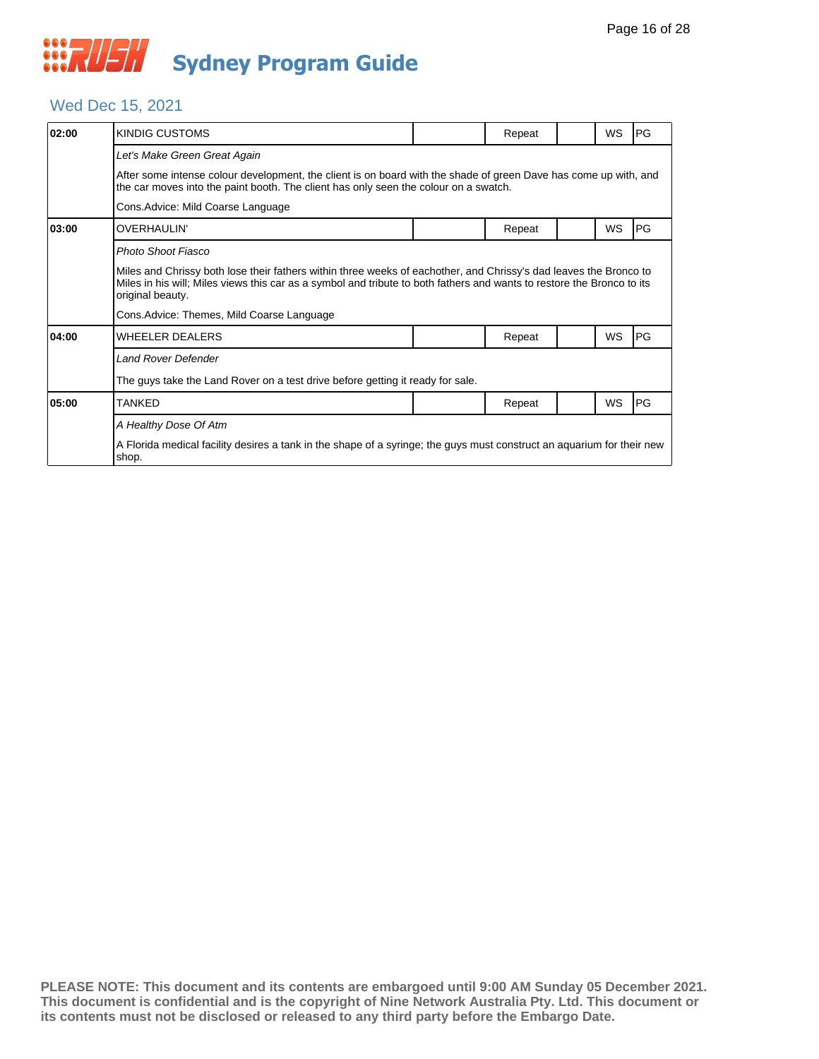#### Wed Dec 15, 2021

| 02:00 | KINDIG CUSTOMS                                                                                                                                                                                                                                                  |  | Repeat |  | WS        | PG |  |  |
|-------|-----------------------------------------------------------------------------------------------------------------------------------------------------------------------------------------------------------------------------------------------------------------|--|--------|--|-----------|----|--|--|
|       | Let's Make Green Great Again                                                                                                                                                                                                                                    |  |        |  |           |    |  |  |
|       | After some intense colour development, the client is on board with the shade of green Dave has come up with, and<br>the car moves into the paint booth. The client has only seen the colour on a swatch.                                                        |  |        |  |           |    |  |  |
|       | Cons. Advice: Mild Coarse Language                                                                                                                                                                                                                              |  |        |  |           |    |  |  |
| 03:00 | <b>OVERHAULIN'</b>                                                                                                                                                                                                                                              |  | Repeat |  | WS        | PG |  |  |
|       | Photo Shoot Fiasco                                                                                                                                                                                                                                              |  |        |  |           |    |  |  |
|       | Miles and Chrissy both lose their fathers within three weeks of eachother, and Chrissy's dad leaves the Bronco to<br>Miles in his will; Miles views this car as a symbol and tribute to both fathers and wants to restore the Bronco to its<br>original beauty. |  |        |  |           |    |  |  |
|       | Cons. Advice: Themes, Mild Coarse Language                                                                                                                                                                                                                      |  |        |  |           |    |  |  |
| 04:00 | <b>WHEELER DEALERS</b>                                                                                                                                                                                                                                          |  | Repeat |  | <b>WS</b> | PG |  |  |
|       | <b>Land Rover Defender</b>                                                                                                                                                                                                                                      |  |        |  |           |    |  |  |
|       | The guys take the Land Rover on a test drive before getting it ready for sale.                                                                                                                                                                                  |  |        |  |           |    |  |  |
| 05:00 | TANKED                                                                                                                                                                                                                                                          |  | Repeat |  | <b>WS</b> | PG |  |  |
|       | A Healthy Dose Of Atm                                                                                                                                                                                                                                           |  |        |  |           |    |  |  |
|       | A Florida medical facility desires a tank in the shape of a syringe; the guys must construct an aquarium for their new<br>shop.                                                                                                                                 |  |        |  |           |    |  |  |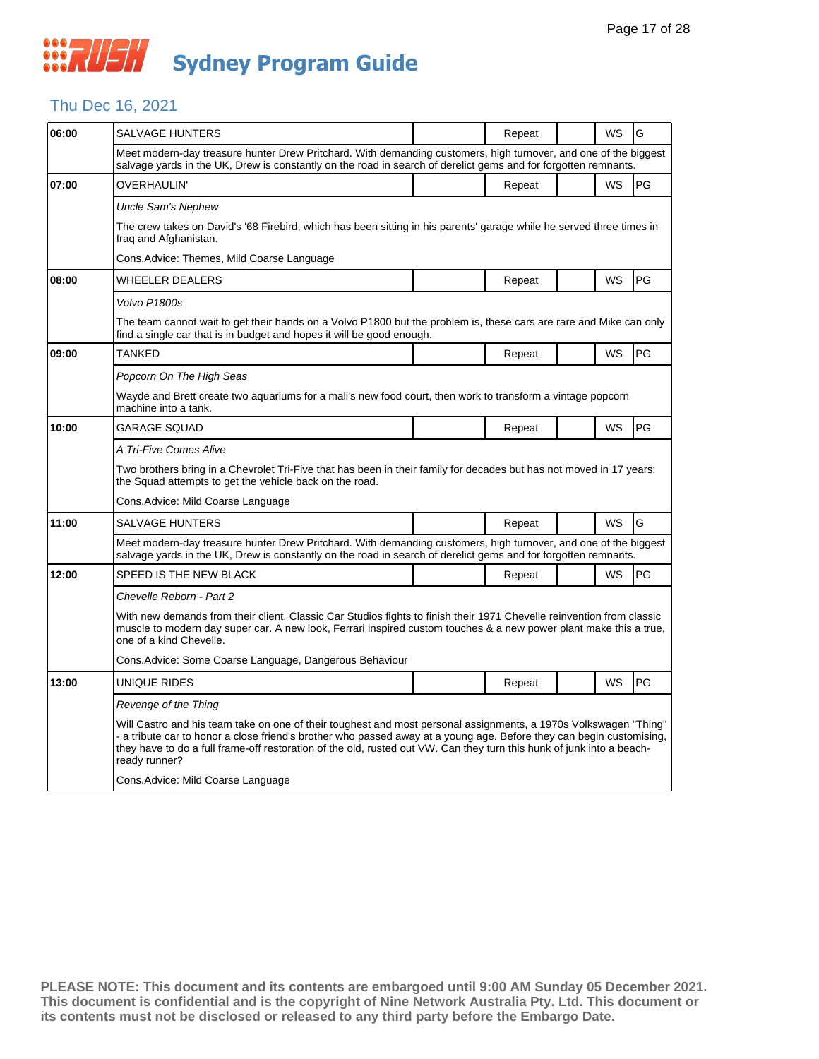## Thu Dec 16, 2021

| 06:00 | SALVAGE HUNTERS                                                                                                                                                                                                                                                                                                                                                                    |  | Repeat |  | WS | G         |  |  |  |
|-------|------------------------------------------------------------------------------------------------------------------------------------------------------------------------------------------------------------------------------------------------------------------------------------------------------------------------------------------------------------------------------------|--|--------|--|----|-----------|--|--|--|
|       | Meet modern-day treasure hunter Drew Pritchard. With demanding customers, high turnover, and one of the biggest<br>salvage yards in the UK, Drew is constantly on the road in search of derelict gems and for forgotten remnants.                                                                                                                                                  |  |        |  |    |           |  |  |  |
| 07:00 | OVERHAULIN'                                                                                                                                                                                                                                                                                                                                                                        |  | Repeat |  | WS | <b>PG</b> |  |  |  |
|       | Uncle Sam's Nephew                                                                                                                                                                                                                                                                                                                                                                 |  |        |  |    |           |  |  |  |
|       | The crew takes on David's '68 Firebird, which has been sitting in his parents' garage while he served three times in<br>Iraq and Afghanistan.                                                                                                                                                                                                                                      |  |        |  |    |           |  |  |  |
|       | Cons.Advice: Themes, Mild Coarse Language                                                                                                                                                                                                                                                                                                                                          |  |        |  |    |           |  |  |  |
| 08:00 | <b>WHEELER DEALERS</b>                                                                                                                                                                                                                                                                                                                                                             |  | Repeat |  | WS | <b>PG</b> |  |  |  |
|       | Volvo P1800s                                                                                                                                                                                                                                                                                                                                                                       |  |        |  |    |           |  |  |  |
|       | The team cannot wait to get their hands on a Volvo P1800 but the problem is, these cars are rare and Mike can only<br>find a single car that is in budget and hopes it will be good enough.                                                                                                                                                                                        |  |        |  |    |           |  |  |  |
| 09:00 | <b>TANKED</b>                                                                                                                                                                                                                                                                                                                                                                      |  | Repeat |  | WS | PG        |  |  |  |
|       | Popcorn On The High Seas                                                                                                                                                                                                                                                                                                                                                           |  |        |  |    |           |  |  |  |
|       | Wayde and Brett create two aquariums for a mall's new food court, then work to transform a vintage popcorn<br>machine into a tank.                                                                                                                                                                                                                                                 |  |        |  |    |           |  |  |  |
| 10:00 | GARAGE SQUAD                                                                                                                                                                                                                                                                                                                                                                       |  | Repeat |  | WS | <b>PG</b> |  |  |  |
|       | A Tri-Five Comes Alive                                                                                                                                                                                                                                                                                                                                                             |  |        |  |    |           |  |  |  |
|       | Two brothers bring in a Chevrolet Tri-Five that has been in their family for decades but has not moved in 17 years;<br>the Squad attempts to get the vehicle back on the road.                                                                                                                                                                                                     |  |        |  |    |           |  |  |  |
|       | Cons.Advice: Mild Coarse Language                                                                                                                                                                                                                                                                                                                                                  |  |        |  |    |           |  |  |  |
| 11:00 | <b>SALVAGE HUNTERS</b>                                                                                                                                                                                                                                                                                                                                                             |  | Repeat |  | WS | G         |  |  |  |
|       | Meet modern-day treasure hunter Drew Pritchard. With demanding customers, high turnover, and one of the biggest<br>salvage yards in the UK, Drew is constantly on the road in search of derelict gems and for forgotten remnants.                                                                                                                                                  |  |        |  |    |           |  |  |  |
| 12:00 | SPEED IS THE NEW BLACK                                                                                                                                                                                                                                                                                                                                                             |  | Repeat |  | WS | <b>PG</b> |  |  |  |
|       | Chevelle Reborn - Part 2                                                                                                                                                                                                                                                                                                                                                           |  |        |  |    |           |  |  |  |
|       | With new demands from their client, Classic Car Studios fights to finish their 1971 Chevelle reinvention from classic<br>muscle to modern day super car. A new look, Ferrari inspired custom touches & a new power plant make this a true,<br>one of a kind Chevelle.                                                                                                              |  |        |  |    |           |  |  |  |
|       | Cons. Advice: Some Coarse Language, Dangerous Behaviour                                                                                                                                                                                                                                                                                                                            |  |        |  |    |           |  |  |  |
| 13:00 | UNIQUE RIDES                                                                                                                                                                                                                                                                                                                                                                       |  | Repeat |  | WS | PG        |  |  |  |
|       | Revenge of the Thing                                                                                                                                                                                                                                                                                                                                                               |  |        |  |    |           |  |  |  |
|       | Will Castro and his team take on one of their toughest and most personal assignments, a 1970s Volkswagen "Thing"<br>- a tribute car to honor a close friend's brother who passed away at a young age. Before they can begin customising,<br>they have to do a full frame-off restoration of the old, rusted out VW. Can they turn this hunk of junk into a beach-<br>ready runner? |  |        |  |    |           |  |  |  |
|       | Cons.Advice: Mild Coarse Language                                                                                                                                                                                                                                                                                                                                                  |  |        |  |    |           |  |  |  |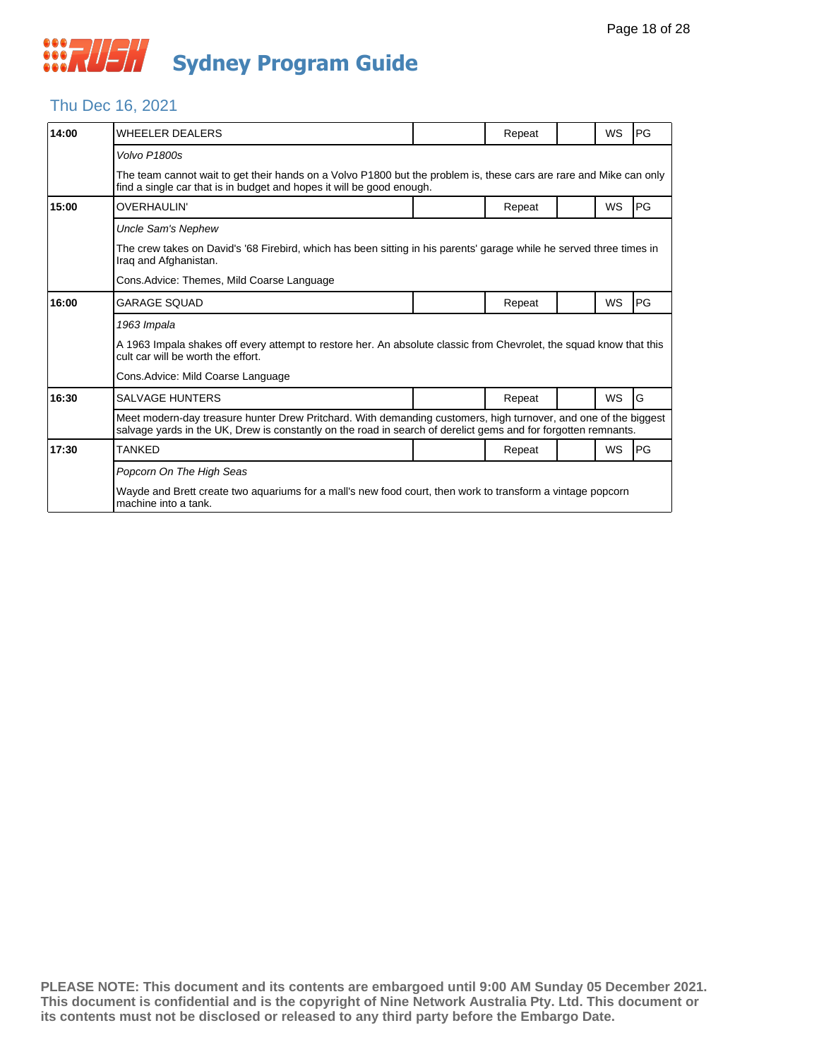

## Thu Dec 16, 2021

| 14:00 | <b>WHEELER DEALERS</b>                                                                                                                                                                                                            |  | Repeat |  | <b>WS</b> | <b>PG</b> |  |  |
|-------|-----------------------------------------------------------------------------------------------------------------------------------------------------------------------------------------------------------------------------------|--|--------|--|-----------|-----------|--|--|
|       | Volvo P1800s                                                                                                                                                                                                                      |  |        |  |           |           |  |  |
|       | The team cannot wait to get their hands on a Volvo P1800 but the problem is, these cars are rare and Mike can only<br>find a single car that is in budget and hopes it will be good enough.                                       |  |        |  |           |           |  |  |
| 15:00 | <b>OVERHAULIN'</b>                                                                                                                                                                                                                |  | Repeat |  | <b>WS</b> | <b>PG</b> |  |  |
|       | <b>Uncle Sam's Nephew</b>                                                                                                                                                                                                         |  |        |  |           |           |  |  |
|       | The crew takes on David's '68 Firebird, which has been sitting in his parents' garage while he served three times in<br>Irag and Afghanistan.                                                                                     |  |        |  |           |           |  |  |
|       | Cons. Advice: Themes, Mild Coarse Language                                                                                                                                                                                        |  |        |  |           |           |  |  |
| 16:00 | <b>GARAGE SOUAD</b>                                                                                                                                                                                                               |  | Repeat |  | WS        | PG        |  |  |
|       | 1963 Impala                                                                                                                                                                                                                       |  |        |  |           |           |  |  |
|       | A 1963 Impala shakes off every attempt to restore her. An absolute classic from Chevrolet, the squad know that this<br>cult car will be worth the effort.                                                                         |  |        |  |           |           |  |  |
|       | Cons. Advice: Mild Coarse Language                                                                                                                                                                                                |  |        |  |           |           |  |  |
| 16:30 | <b>SALVAGE HUNTERS</b>                                                                                                                                                                                                            |  | Repeat |  | <b>WS</b> | G         |  |  |
|       | Meet modern-day treasure hunter Drew Pritchard. With demanding customers, high turnover, and one of the biggest<br>salvage yards in the UK, Drew is constantly on the road in search of derelict gems and for forgotten remnants. |  |        |  |           |           |  |  |
| 17:30 | <b>TANKED</b>                                                                                                                                                                                                                     |  | Repeat |  | <b>WS</b> | <b>PG</b> |  |  |
|       | Popcorn On The High Seas                                                                                                                                                                                                          |  |        |  |           |           |  |  |
|       | Wayde and Brett create two aguariums for a mall's new food court, then work to transform a vintage popcorn<br>machine into a tank.                                                                                                |  |        |  |           |           |  |  |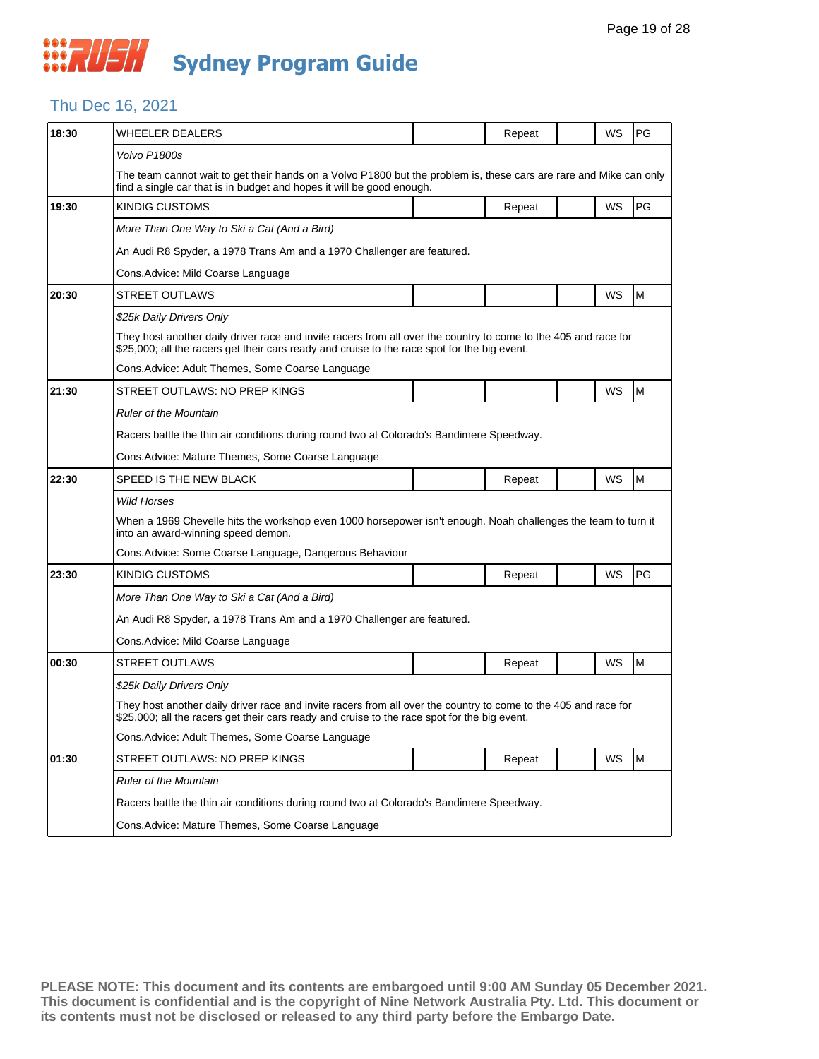## Thu Dec 16, 2021

| 18:30 | WHEELER DEALERS                                                                                                                                                                                                 |                                                                        | Repeat |  | WS | PG |  |  |  |
|-------|-----------------------------------------------------------------------------------------------------------------------------------------------------------------------------------------------------------------|------------------------------------------------------------------------|--------|--|----|----|--|--|--|
|       | Volvo P1800s                                                                                                                                                                                                    |                                                                        |        |  |    |    |  |  |  |
|       | The team cannot wait to get their hands on a Volvo P1800 but the problem is, these cars are rare and Mike can only<br>find a single car that is in budget and hopes it will be good enough.                     |                                                                        |        |  |    |    |  |  |  |
| 19:30 | <b>KINDIG CUSTOMS</b>                                                                                                                                                                                           |                                                                        | Repeat |  | WS | PG |  |  |  |
|       | More Than One Way to Ski a Cat (And a Bird)                                                                                                                                                                     |                                                                        |        |  |    |    |  |  |  |
|       | An Audi R8 Spyder, a 1978 Trans Am and a 1970 Challenger are featured.                                                                                                                                          |                                                                        |        |  |    |    |  |  |  |
|       | Cons. Advice: Mild Coarse Language                                                                                                                                                                              |                                                                        |        |  |    |    |  |  |  |
| 20:30 | <b>STREET OUTLAWS</b>                                                                                                                                                                                           |                                                                        |        |  | WS | M  |  |  |  |
|       | \$25k Daily Drivers Only                                                                                                                                                                                        |                                                                        |        |  |    |    |  |  |  |
|       | They host another daily driver race and invite racers from all over the country to come to the 405 and race for<br>\$25,000; all the racers get their cars ready and cruise to the race spot for the big event. |                                                                        |        |  |    |    |  |  |  |
|       | Cons.Advice: Adult Themes, Some Coarse Language                                                                                                                                                                 |                                                                        |        |  |    |    |  |  |  |
| 21:30 | STREET OUTLAWS: NO PREP KINGS                                                                                                                                                                                   |                                                                        |        |  | WS | M  |  |  |  |
|       | <b>Ruler of the Mountain</b>                                                                                                                                                                                    |                                                                        |        |  |    |    |  |  |  |
|       | Racers battle the thin air conditions during round two at Colorado's Bandimere Speedway.                                                                                                                        |                                                                        |        |  |    |    |  |  |  |
|       | Cons.Advice: Mature Themes, Some Coarse Language                                                                                                                                                                |                                                                        |        |  |    |    |  |  |  |
| 22:30 | SPEED IS THE NEW BLACK                                                                                                                                                                                          |                                                                        | Repeat |  | WS | M  |  |  |  |
|       | <b>Wild Horses</b>                                                                                                                                                                                              |                                                                        |        |  |    |    |  |  |  |
|       | When a 1969 Chevelle hits the workshop even 1000 horsepower isn't enough. Noah challenges the team to turn it<br>into an award-winning speed demon.                                                             |                                                                        |        |  |    |    |  |  |  |
|       | Cons. Advice: Some Coarse Language, Dangerous Behaviour                                                                                                                                                         |                                                                        |        |  |    |    |  |  |  |
| 23:30 | <b>KINDIG CUSTOMS</b>                                                                                                                                                                                           |                                                                        | Repeat |  | WS | PG |  |  |  |
|       | More Than One Way to Ski a Cat (And a Bird)                                                                                                                                                                     |                                                                        |        |  |    |    |  |  |  |
|       |                                                                                                                                                                                                                 | An Audi R8 Spyder, a 1978 Trans Am and a 1970 Challenger are featured. |        |  |    |    |  |  |  |
|       | Cons.Advice: Mild Coarse Language                                                                                                                                                                               |                                                                        |        |  |    |    |  |  |  |
| 00:30 | <b>STREET OUTLAWS</b>                                                                                                                                                                                           |                                                                        | Repeat |  | WS | M  |  |  |  |
|       | \$25k Daily Drivers Only                                                                                                                                                                                        |                                                                        |        |  |    |    |  |  |  |
|       | They host another daily driver race and invite racers from all over the country to come to the 405 and race for<br>\$25,000; all the racers get their cars ready and cruise to the race spot for the big event. |                                                                        |        |  |    |    |  |  |  |
|       | Cons. Advice: Adult Themes, Some Coarse Language                                                                                                                                                                |                                                                        |        |  |    |    |  |  |  |
| 01:30 | STREET OUTLAWS: NO PREP KINGS                                                                                                                                                                                   |                                                                        | Repeat |  | WS | M  |  |  |  |
|       | <b>Ruler of the Mountain</b>                                                                                                                                                                                    |                                                                        |        |  |    |    |  |  |  |
|       | Racers battle the thin air conditions during round two at Colorado's Bandimere Speedway.                                                                                                                        |                                                                        |        |  |    |    |  |  |  |
|       | Cons.Advice: Mature Themes, Some Coarse Language                                                                                                                                                                |                                                                        |        |  |    |    |  |  |  |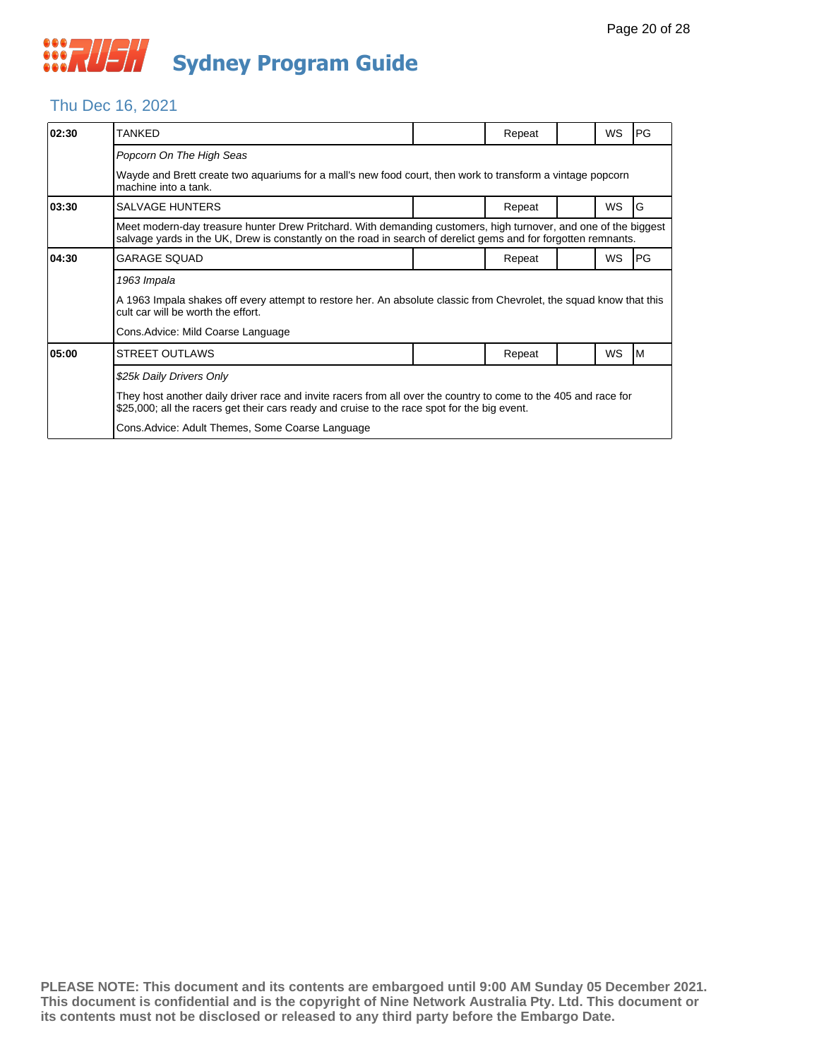## Thu Dec 16, 2021

| 02:30 | TANKED                                                                                                                                                                                                                            |  | Repeat |  | WS        | <b>PG</b> |  |  |
|-------|-----------------------------------------------------------------------------------------------------------------------------------------------------------------------------------------------------------------------------------|--|--------|--|-----------|-----------|--|--|
|       | Popcorn On The High Seas                                                                                                                                                                                                          |  |        |  |           |           |  |  |
|       | Wayde and Brett create two aquariums for a mall's new food court, then work to transform a vintage popcorn<br>machine into a tank.                                                                                                |  |        |  |           |           |  |  |
| 03:30 | <b>SALVAGE HUNTERS</b>                                                                                                                                                                                                            |  | Repeat |  | <b>WS</b> | ١G        |  |  |
|       | Meet modern-day treasure hunter Drew Pritchard. With demanding customers, high turnover, and one of the biggest<br>salvage yards in the UK, Drew is constantly on the road in search of derelict gems and for forgotten remnants. |  |        |  |           |           |  |  |
| 04:30 | <b>GARAGE SQUAD</b>                                                                                                                                                                                                               |  | Repeat |  | WS        | PG        |  |  |
|       | 1963 Impala                                                                                                                                                                                                                       |  |        |  |           |           |  |  |
|       | A 1963 Impala shakes off every attempt to restore her. An absolute classic from Chevrolet, the squad know that this<br>cult car will be worth the effort.                                                                         |  |        |  |           |           |  |  |
|       | Cons. Advice: Mild Coarse Language                                                                                                                                                                                                |  |        |  |           |           |  |  |
| 05:00 | <b>STREET OUTLAWS</b>                                                                                                                                                                                                             |  | Repeat |  | <b>WS</b> | ıм        |  |  |
|       | \$25k Daily Drivers Only                                                                                                                                                                                                          |  |        |  |           |           |  |  |
|       | They host another daily driver race and invite racers from all over the country to come to the 405 and race for<br>\$25,000; all the racers get their cars ready and cruise to the race spot for the big event.                   |  |        |  |           |           |  |  |
|       | Cons. Advice: Adult Themes, Some Coarse Language                                                                                                                                                                                  |  |        |  |           |           |  |  |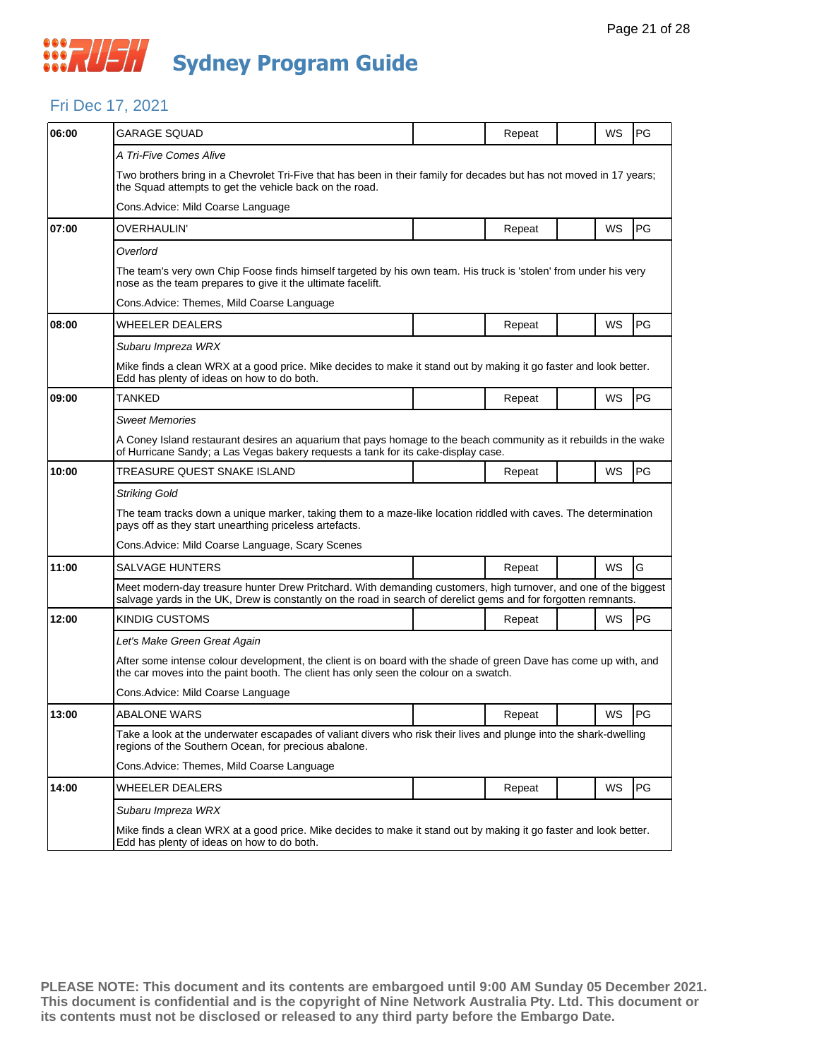#### Fri Dec 17, 2021

| 06:00 | GARAGE SQUAD                                                                                                                                                                                                                      |  | Repeat |  | WS        | PG        |  |  |  |
|-------|-----------------------------------------------------------------------------------------------------------------------------------------------------------------------------------------------------------------------------------|--|--------|--|-----------|-----------|--|--|--|
|       | A Tri-Five Comes Alive                                                                                                                                                                                                            |  |        |  |           |           |  |  |  |
|       | Two brothers bring in a Chevrolet Tri-Five that has been in their family for decades but has not moved in 17 years;<br>the Squad attempts to get the vehicle back on the road.                                                    |  |        |  |           |           |  |  |  |
|       | Cons.Advice: Mild Coarse Language                                                                                                                                                                                                 |  |        |  |           |           |  |  |  |
| 07:00 | OVERHAULIN'                                                                                                                                                                                                                       |  | Repeat |  | WS        | PG        |  |  |  |
|       | Overlord                                                                                                                                                                                                                          |  |        |  |           |           |  |  |  |
|       | The team's very own Chip Foose finds himself targeted by his own team. His truck is 'stolen' from under his very<br>nose as the team prepares to give it the ultimate facelift.                                                   |  |        |  |           |           |  |  |  |
|       | Cons.Advice: Themes, Mild Coarse Language                                                                                                                                                                                         |  |        |  |           |           |  |  |  |
| 08:00 | WHEELER DEALERS                                                                                                                                                                                                                   |  | Repeat |  | WS        | PG        |  |  |  |
|       | Subaru Impreza WRX                                                                                                                                                                                                                |  |        |  |           |           |  |  |  |
|       | Mike finds a clean WRX at a good price. Mike decides to make it stand out by making it go faster and look better.<br>Edd has plenty of ideas on how to do both.                                                                   |  |        |  |           |           |  |  |  |
| 09:00 | TANKED                                                                                                                                                                                                                            |  | Repeat |  | WS        | PG        |  |  |  |
|       | <b>Sweet Memories</b>                                                                                                                                                                                                             |  |        |  |           |           |  |  |  |
|       | A Coney Island restaurant desires an aquarium that pays homage to the beach community as it rebuilds in the wake<br>of Hurricane Sandy; a Las Vegas bakery requests a tank for its cake-display case.                             |  |        |  |           |           |  |  |  |
| 10:00 | TREASURE QUEST SNAKE ISLAND                                                                                                                                                                                                       |  | Repeat |  | WS        | PG        |  |  |  |
|       | <b>Striking Gold</b>                                                                                                                                                                                                              |  |        |  |           |           |  |  |  |
|       | The team tracks down a unique marker, taking them to a maze-like location riddled with caves. The determination<br>pays off as they start unearthing priceless artefacts.                                                         |  |        |  |           |           |  |  |  |
|       | Cons. Advice: Mild Coarse Language, Scary Scenes                                                                                                                                                                                  |  |        |  |           |           |  |  |  |
| 11:00 | SALVAGE HUNTERS                                                                                                                                                                                                                   |  | Repeat |  | WS        | G         |  |  |  |
|       | Meet modern-day treasure hunter Drew Pritchard. With demanding customers, high turnover, and one of the biggest<br>salvage yards in the UK, Drew is constantly on the road in search of derelict gems and for forgotten remnants. |  |        |  |           |           |  |  |  |
| 12:00 | KINDIG CUSTOMS                                                                                                                                                                                                                    |  | Repeat |  | WS        | PG        |  |  |  |
|       | Let's Make Green Great Again                                                                                                                                                                                                      |  |        |  |           |           |  |  |  |
|       | After some intense colour development, the client is on board with the shade of green Dave has come up with, and<br>the car moves into the paint booth. The client has only seen the colour on a swatch.                          |  |        |  |           |           |  |  |  |
|       | Cons.Advice: Mild Coarse Language                                                                                                                                                                                                 |  |        |  |           |           |  |  |  |
| 13:00 | <b>ABALONE WARS</b>                                                                                                                                                                                                               |  | Repeat |  | WS        | <b>PG</b> |  |  |  |
|       | Take a look at the underwater escapades of valiant divers who risk their lives and plunge into the shark-dwelling<br>regions of the Southern Ocean, for precious abalone.                                                         |  |        |  |           |           |  |  |  |
|       | Cons.Advice: Themes, Mild Coarse Language                                                                                                                                                                                         |  |        |  |           |           |  |  |  |
| 14:00 | WHEELER DEALERS                                                                                                                                                                                                                   |  | Repeat |  | <b>WS</b> | PG        |  |  |  |
|       | Subaru Impreza WRX                                                                                                                                                                                                                |  |        |  |           |           |  |  |  |
|       | Mike finds a clean WRX at a good price. Mike decides to make it stand out by making it go faster and look better.<br>Edd has plenty of ideas on how to do both.                                                                   |  |        |  |           |           |  |  |  |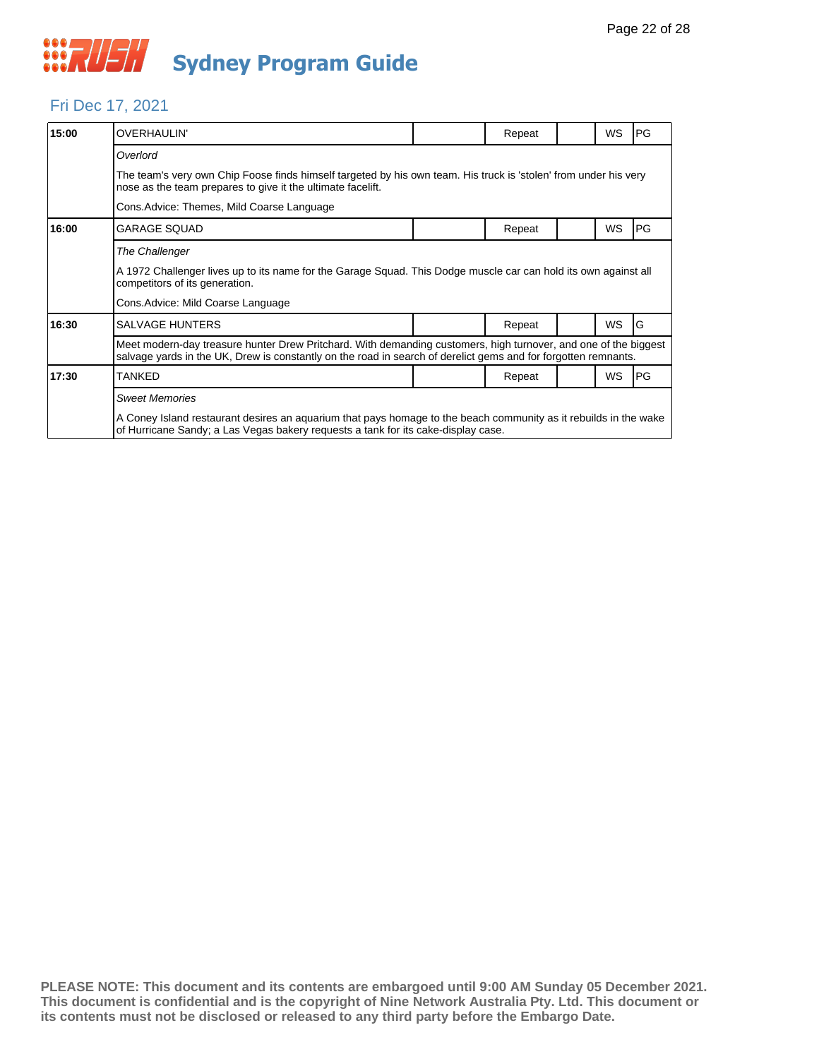

#### Fri Dec 17, 2021

| 15:00                                     | <b>OVERHAULIN'</b>                                                                                                                                                                                                                |  | Repeat |  | <b>WS</b> | PG |  |  |  |
|-------------------------------------------|-----------------------------------------------------------------------------------------------------------------------------------------------------------------------------------------------------------------------------------|--|--------|--|-----------|----|--|--|--|
|                                           | Overlord                                                                                                                                                                                                                          |  |        |  |           |    |  |  |  |
|                                           | The team's very own Chip Foose finds himself targeted by his own team. His truck is 'stolen' from under his very<br>nose as the team prepares to give it the ultimate facelift.                                                   |  |        |  |           |    |  |  |  |
| Cons.Advice: Themes, Mild Coarse Language |                                                                                                                                                                                                                                   |  |        |  |           |    |  |  |  |
| 16:00                                     | <b>GARAGE SQUAD</b>                                                                                                                                                                                                               |  | Repeat |  | WS        | PG |  |  |  |
|                                           | The Challenger                                                                                                                                                                                                                    |  |        |  |           |    |  |  |  |
|                                           | A 1972 Challenger lives up to its name for the Garage Squad. This Dodge muscle car can hold its own against all<br>competitors of its generation.                                                                                 |  |        |  |           |    |  |  |  |
|                                           | Cons. Advice: Mild Coarse Language                                                                                                                                                                                                |  |        |  |           |    |  |  |  |
| 16:30                                     | <b>SALVAGE HUNTERS</b>                                                                                                                                                                                                            |  | Repeat |  | <b>WS</b> | G  |  |  |  |
|                                           | Meet modern-day treasure hunter Drew Pritchard. With demanding customers, high turnover, and one of the biggest<br>salvage yards in the UK, Drew is constantly on the road in search of derelict gems and for forgotten remnants. |  |        |  |           |    |  |  |  |
| 17:30                                     | TANKED                                                                                                                                                                                                                            |  | Repeat |  | WS        | PG |  |  |  |
|                                           | <b>Sweet Memories</b>                                                                                                                                                                                                             |  |        |  |           |    |  |  |  |
|                                           | A Coney Island restaurant desires an aquarium that pays homage to the beach community as it rebuilds in the wake<br>of Hurricane Sandy; a Las Vegas bakery requests a tank for its cake-display case.                             |  |        |  |           |    |  |  |  |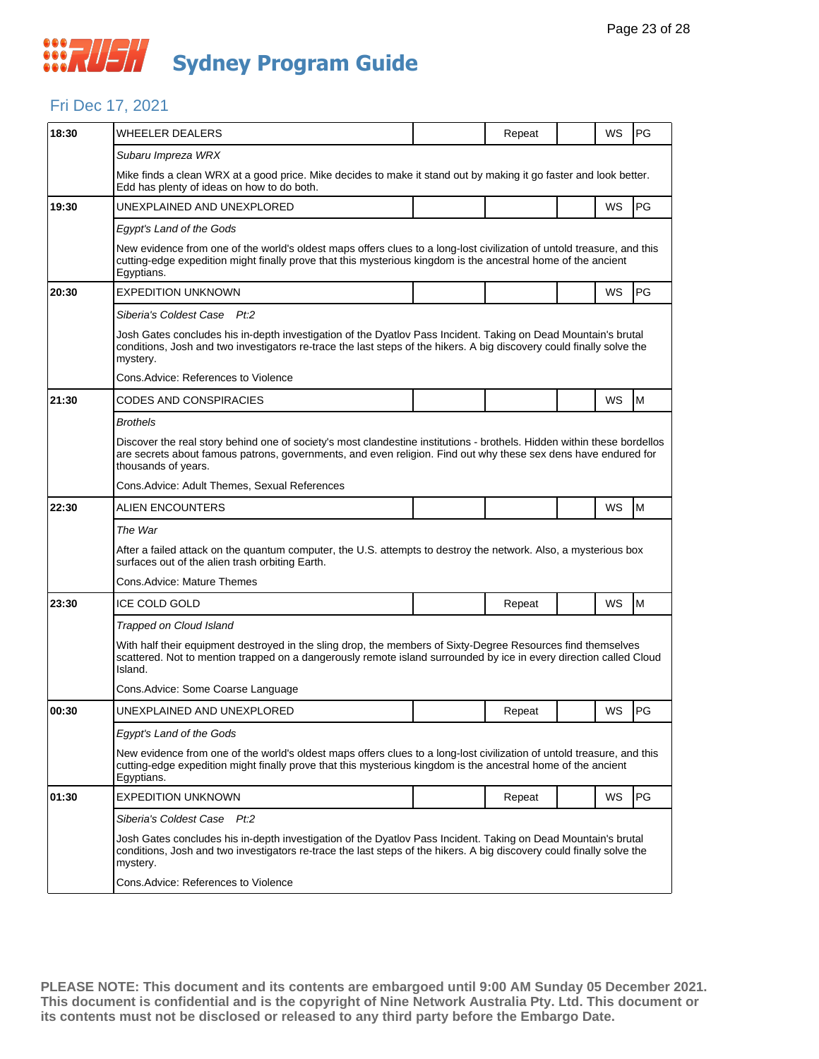#### Fri Dec 17, 2021

| 18:30 | WHEELER DEALERS                                                                                                                                                                                                                                                  |  | Repeat |  | WS        | PG |  |  |  |
|-------|------------------------------------------------------------------------------------------------------------------------------------------------------------------------------------------------------------------------------------------------------------------|--|--------|--|-----------|----|--|--|--|
|       | Subaru Impreza WRX                                                                                                                                                                                                                                               |  |        |  |           |    |  |  |  |
|       | Mike finds a clean WRX at a good price. Mike decides to make it stand out by making it go faster and look better.<br>Edd has plenty of ideas on how to do both.                                                                                                  |  |        |  |           |    |  |  |  |
| 19:30 | UNEXPLAINED AND UNEXPLORED                                                                                                                                                                                                                                       |  |        |  | WS        | PG |  |  |  |
|       | Egypt's Land of the Gods                                                                                                                                                                                                                                         |  |        |  |           |    |  |  |  |
|       | New evidence from one of the world's oldest maps offers clues to a long-lost civilization of untold treasure, and this<br>cutting-edge expedition might finally prove that this mysterious kingdom is the ancestral home of the ancient<br>Egyptians.            |  |        |  |           |    |  |  |  |
| 20:30 | <b>EXPEDITION UNKNOWN</b>                                                                                                                                                                                                                                        |  |        |  | WS        | PG |  |  |  |
|       | Siberia's Coldest Case Pt:2                                                                                                                                                                                                                                      |  |        |  |           |    |  |  |  |
|       | Josh Gates concludes his in-depth investigation of the Dyatlov Pass Incident. Taking on Dead Mountain's brutal<br>conditions, Josh and two investigators re-trace the last steps of the hikers. A big discovery could finally solve the<br>mystery.              |  |        |  |           |    |  |  |  |
|       | Cons.Advice: References to Violence                                                                                                                                                                                                                              |  |        |  |           |    |  |  |  |
| 21:30 | CODES AND CONSPIRACIES                                                                                                                                                                                                                                           |  |        |  | WS        | M  |  |  |  |
|       | <b>Brothels</b>                                                                                                                                                                                                                                                  |  |        |  |           |    |  |  |  |
|       | Discover the real story behind one of society's most clandestine institutions - brothels. Hidden within these bordellos<br>are secrets about famous patrons, governments, and even religion. Find out why these sex dens have endured for<br>thousands of years. |  |        |  |           |    |  |  |  |
|       | Cons. Advice: Adult Themes, Sexual References                                                                                                                                                                                                                    |  |        |  |           |    |  |  |  |
| 22:30 | ALIEN ENCOUNTERS                                                                                                                                                                                                                                                 |  |        |  | WS        | M  |  |  |  |
|       | The War                                                                                                                                                                                                                                                          |  |        |  |           |    |  |  |  |
|       | After a failed attack on the quantum computer, the U.S. attempts to destroy the network. Also, a mysterious box<br>surfaces out of the alien trash orbiting Earth.                                                                                               |  |        |  |           |    |  |  |  |
|       | Cons.Advice: Mature Themes                                                                                                                                                                                                                                       |  |        |  |           |    |  |  |  |
| 23:30 | <b>ICE COLD GOLD</b>                                                                                                                                                                                                                                             |  | Repeat |  | WS        | M  |  |  |  |
|       | Trapped on Cloud Island                                                                                                                                                                                                                                          |  |        |  |           |    |  |  |  |
|       | With half their equipment destroyed in the sling drop, the members of Sixty-Degree Resources find themselves<br>scattered. Not to mention trapped on a dangerously remote island surrounded by ice in every direction called Cloud<br>Island.                    |  |        |  |           |    |  |  |  |
|       | Cons. Advice: Some Coarse Language                                                                                                                                                                                                                               |  |        |  |           |    |  |  |  |
| 00:30 | UNEXPLAINED AND UNEXPLORED                                                                                                                                                                                                                                       |  | Repeat |  | WS        | PG |  |  |  |
|       | Egypt's Land of the Gods                                                                                                                                                                                                                                         |  |        |  |           |    |  |  |  |
|       | New evidence from one of the world's oldest maps offers clues to a long-lost civilization of untold treasure, and this<br>cutting-edge expedition might finally prove that this mysterious kingdom is the ancestral home of the ancient<br>Egyptians.            |  |        |  |           |    |  |  |  |
| 01:30 | <b>EXPEDITION UNKNOWN</b>                                                                                                                                                                                                                                        |  | Repeat |  | <b>WS</b> | PG |  |  |  |
|       | Siberia's Coldest Case Pt.2                                                                                                                                                                                                                                      |  |        |  |           |    |  |  |  |
|       | Josh Gates concludes his in-depth investigation of the Dyatlov Pass Incident. Taking on Dead Mountain's brutal<br>conditions, Josh and two investigators re-trace the last steps of the hikers. A big discovery could finally solve the<br>mystery.              |  |        |  |           |    |  |  |  |
|       | Cons.Advice: References to Violence                                                                                                                                                                                                                              |  |        |  |           |    |  |  |  |
|       |                                                                                                                                                                                                                                                                  |  |        |  |           |    |  |  |  |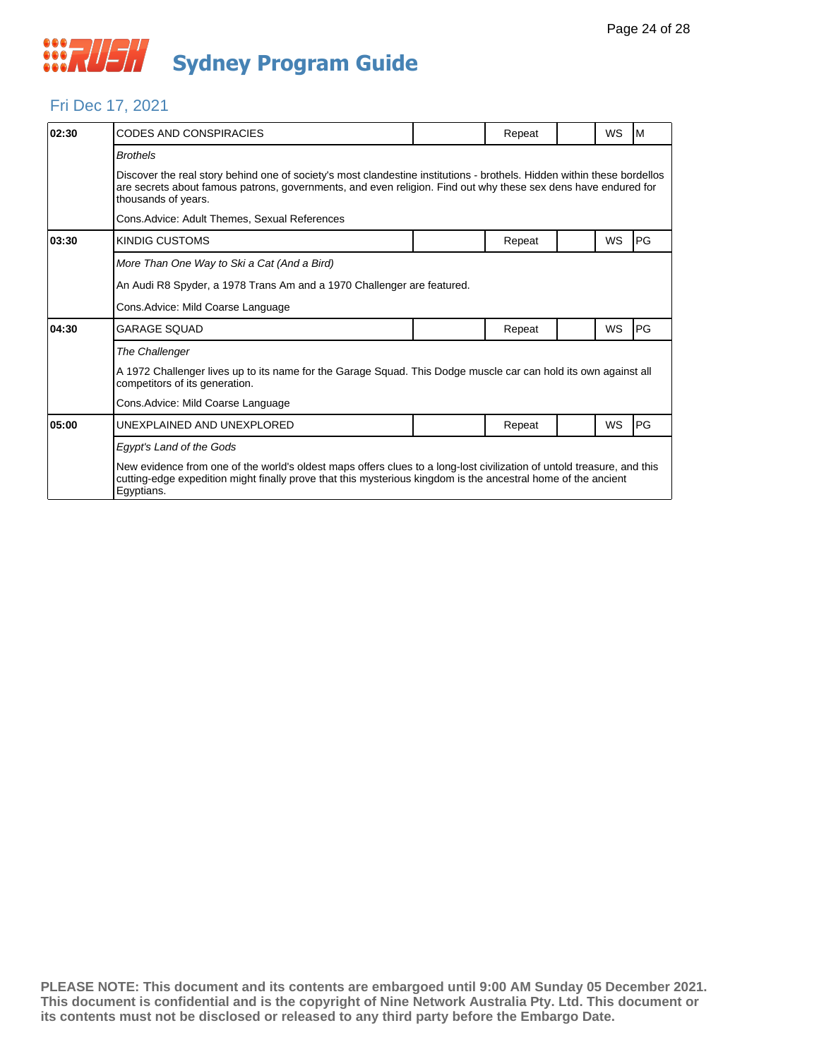

#### Fri Dec 17, 2021

| 02:30 | <b>CODES AND CONSPIRACIES</b>                                                                                                                                                                                                                                    |  | Repeat |  | WS        | l M       |  |  |  |
|-------|------------------------------------------------------------------------------------------------------------------------------------------------------------------------------------------------------------------------------------------------------------------|--|--------|--|-----------|-----------|--|--|--|
|       | <b>Brothels</b>                                                                                                                                                                                                                                                  |  |        |  |           |           |  |  |  |
|       | Discover the real story behind one of society's most clandestine institutions - brothels. Hidden within these bordellos<br>are secrets about famous patrons, governments, and even religion. Find out why these sex dens have endured for<br>thousands of years. |  |        |  |           |           |  |  |  |
|       | Cons. Advice: Adult Themes, Sexual References                                                                                                                                                                                                                    |  |        |  |           |           |  |  |  |
| 03:30 | <b>KINDIG CUSTOMS</b>                                                                                                                                                                                                                                            |  | Repeat |  | WS        | PG        |  |  |  |
|       | More Than One Way to Ski a Cat (And a Bird)                                                                                                                                                                                                                      |  |        |  |           |           |  |  |  |
|       | An Audi R8 Spyder, a 1978 Trans Am and a 1970 Challenger are featured.                                                                                                                                                                                           |  |        |  |           |           |  |  |  |
|       | Cons. Advice: Mild Coarse Language                                                                                                                                                                                                                               |  |        |  |           |           |  |  |  |
| 04:30 | <b>GARAGE SOUAD</b>                                                                                                                                                                                                                                              |  | Repeat |  | WS        | PG        |  |  |  |
|       | The Challenger                                                                                                                                                                                                                                                   |  |        |  |           |           |  |  |  |
|       | A 1972 Challenger lives up to its name for the Garage Squad. This Dodge muscle car can hold its own against all<br>competitors of its generation.                                                                                                                |  |        |  |           |           |  |  |  |
|       | Cons. Advice: Mild Coarse Language                                                                                                                                                                                                                               |  |        |  |           |           |  |  |  |
| 05:00 | UNEXPLAINED AND UNEXPLORED                                                                                                                                                                                                                                       |  | Repeat |  | <b>WS</b> | <b>PG</b> |  |  |  |
|       | Egypt's Land of the Gods                                                                                                                                                                                                                                         |  |        |  |           |           |  |  |  |
|       | New evidence from one of the world's oldest maps offers clues to a long-lost civilization of untold treasure, and this<br>cutting-edge expedition might finally prove that this mysterious kingdom is the ancestral home of the ancient<br>Egyptians.            |  |        |  |           |           |  |  |  |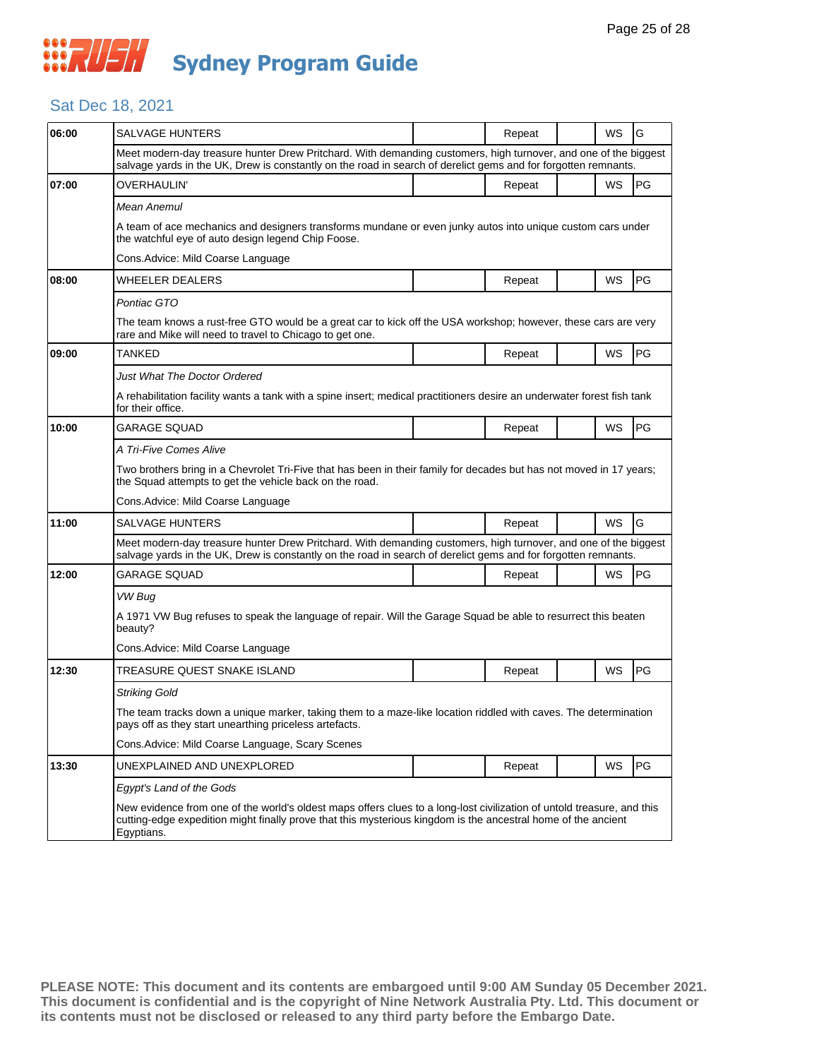## Sat Dec 18, 2021

| 06:00 | SALVAGE HUNTERS                                                                                                                                                                                                                                       |  | Repeat |  | WS        | G         |  |
|-------|-------------------------------------------------------------------------------------------------------------------------------------------------------------------------------------------------------------------------------------------------------|--|--------|--|-----------|-----------|--|
|       | Meet modern-day treasure hunter Drew Pritchard. With demanding customers, high turnover, and one of the biggest<br>salvage yards in the UK, Drew is constantly on the road in search of derelict gems and for forgotten remnants.                     |  |        |  |           |           |  |
| 07:00 | OVERHAULIN'                                                                                                                                                                                                                                           |  | Repeat |  | <b>WS</b> | <b>PG</b> |  |
|       | Mean Anemul                                                                                                                                                                                                                                           |  |        |  |           |           |  |
|       | A team of ace mechanics and designers transforms mundane or even junky autos into unique custom cars under<br>the watchful eye of auto design legend Chip Foose.                                                                                      |  |        |  |           |           |  |
|       | Cons.Advice: Mild Coarse Language                                                                                                                                                                                                                     |  |        |  |           |           |  |
| 08:00 | WHEELER DEALERS                                                                                                                                                                                                                                       |  | Repeat |  | WS        | <b>PG</b> |  |
|       | Pontiac GTO                                                                                                                                                                                                                                           |  |        |  |           |           |  |
|       | The team knows a rust-free GTO would be a great car to kick off the USA workshop; however, these cars are very<br>rare and Mike will need to travel to Chicago to get one.                                                                            |  |        |  |           |           |  |
| 09:00 | TANKED                                                                                                                                                                                                                                                |  | Repeat |  | WS        | <b>PG</b> |  |
|       | Just What The Doctor Ordered                                                                                                                                                                                                                          |  |        |  |           |           |  |
|       | A rehabilitation facility wants a tank with a spine insert; medical practitioners desire an underwater forest fish tank<br>for their office.                                                                                                          |  |        |  |           |           |  |
| 10:00 | GARAGE SOUAD                                                                                                                                                                                                                                          |  | Repeat |  | WS        | PG        |  |
|       | A Tri-Five Comes Alive                                                                                                                                                                                                                                |  |        |  |           |           |  |
|       | Two brothers bring in a Chevrolet Tri-Five that has been in their family for decades but has not moved in 17 years;<br>the Squad attempts to get the vehicle back on the road.                                                                        |  |        |  |           |           |  |
|       | Cons. Advice: Mild Coarse Language                                                                                                                                                                                                                    |  |        |  |           |           |  |
| 11:00 | SALVAGE HUNTERS                                                                                                                                                                                                                                       |  | Repeat |  | WS        | G         |  |
|       | Meet modern-day treasure hunter Drew Pritchard. With demanding customers, high turnover, and one of the biggest<br>salvage yards in the UK, Drew is constantly on the road in search of derelict gems and for forgotten remnants.                     |  |        |  |           |           |  |
| 12:00 | GARAGE SQUAD                                                                                                                                                                                                                                          |  | Repeat |  | WS        | <b>PG</b> |  |
|       | VW Bug                                                                                                                                                                                                                                                |  |        |  |           |           |  |
|       | A 1971 VW Bug refuses to speak the language of repair. Will the Garage Squad be able to resurrect this beaten<br>beauty?                                                                                                                              |  |        |  |           |           |  |
|       | Cons. Advice: Mild Coarse Language                                                                                                                                                                                                                    |  |        |  |           |           |  |
| 12:30 | TREASURE QUEST SNAKE ISLAND                                                                                                                                                                                                                           |  | Repeat |  | WS        | <b>PG</b> |  |
|       | <b>Striking Gold</b>                                                                                                                                                                                                                                  |  |        |  |           |           |  |
|       | The team tracks down a unique marker, taking them to a maze-like location riddled with caves. The determination<br>pays off as they start unearthing priceless artefacts.                                                                             |  |        |  |           |           |  |
|       | Cons.Advice: Mild Coarse Language, Scary Scenes                                                                                                                                                                                                       |  |        |  |           |           |  |
| 13:30 | UNEXPLAINED AND UNEXPLORED                                                                                                                                                                                                                            |  | Repeat |  | WS        | <b>PG</b> |  |
|       | Egypt's Land of the Gods                                                                                                                                                                                                                              |  |        |  |           |           |  |
|       | New evidence from one of the world's oldest maps offers clues to a long-lost civilization of untold treasure, and this<br>cutting-edge expedition might finally prove that this mysterious kingdom is the ancestral home of the ancient<br>Egyptians. |  |        |  |           |           |  |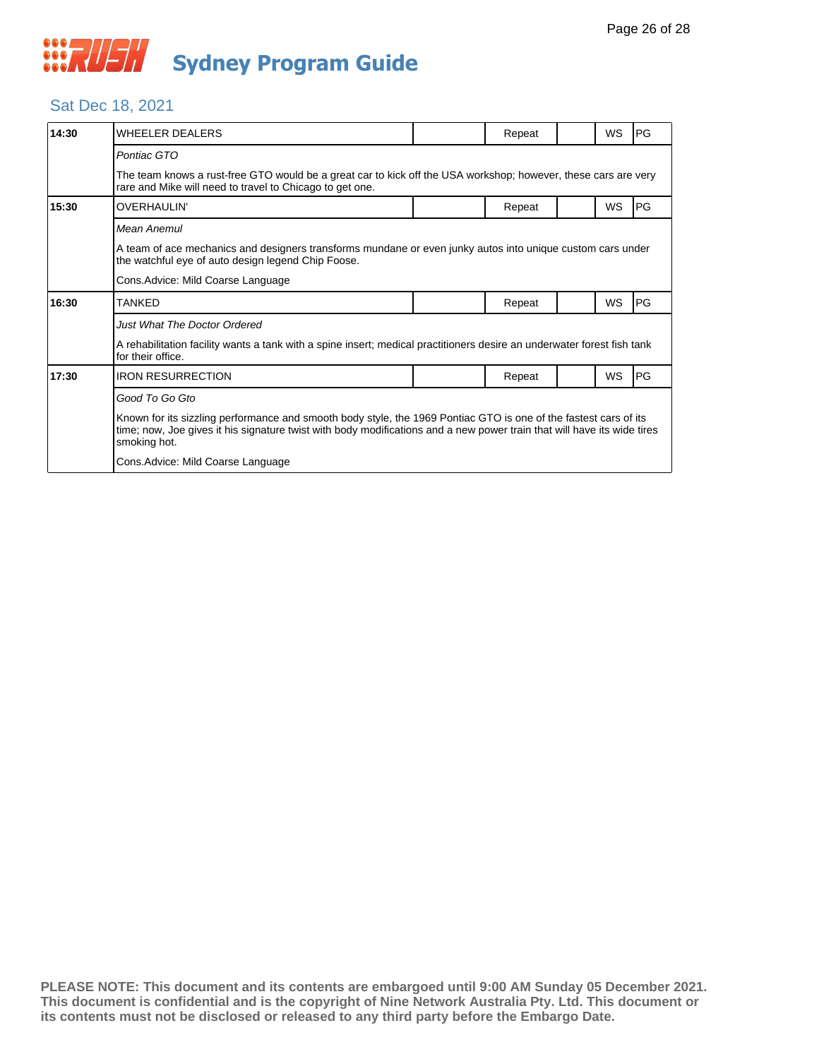

## Sat Dec 18, 2021

| 14:30 | WHEELER DEALERS                                                                                                                                                                                                                                             |  | Repeat |  | <b>WS</b> | PG        |  |  |
|-------|-------------------------------------------------------------------------------------------------------------------------------------------------------------------------------------------------------------------------------------------------------------|--|--------|--|-----------|-----------|--|--|
|       | Pontiac GTO<br>The team knows a rust-free GTO would be a great car to kick off the USA workshop; however, these cars are very<br>rare and Mike will need to travel to Chicago to get one.                                                                   |  |        |  |           |           |  |  |
| 15:30 | OVERHAULIN'                                                                                                                                                                                                                                                 |  | Repeat |  | WS        | <b>PG</b> |  |  |
|       | Mean Anemul                                                                                                                                                                                                                                                 |  |        |  |           |           |  |  |
|       | A team of ace mechanics and designers transforms mundane or even junky autos into unique custom cars under<br>the watchful eye of auto design legend Chip Foose.                                                                                            |  |        |  |           |           |  |  |
|       | Cons.Advice: Mild Coarse Language                                                                                                                                                                                                                           |  |        |  |           |           |  |  |
| 16:30 | TANKED                                                                                                                                                                                                                                                      |  | Repeat |  | <b>WS</b> | <b>PG</b> |  |  |
|       | Just What The Doctor Ordered<br>A rehabilitation facility wants a tank with a spine insert; medical practitioners desire an underwater forest fish tank<br>for their office.                                                                                |  |        |  |           |           |  |  |
| 17:30 | <b>IRON RESURRECTION</b>                                                                                                                                                                                                                                    |  | Repeat |  | <b>WS</b> | <b>PG</b> |  |  |
|       | Good To Go Gto                                                                                                                                                                                                                                              |  |        |  |           |           |  |  |
|       | Known for its sizzling performance and smooth body style, the 1969 Pontiac GTO is one of the fastest cars of its<br>time; now, Joe gives it his signature twist with body modifications and a new power train that will have its wide tires<br>smoking hot. |  |        |  |           |           |  |  |
|       | Cons.Advice: Mild Coarse Language                                                                                                                                                                                                                           |  |        |  |           |           |  |  |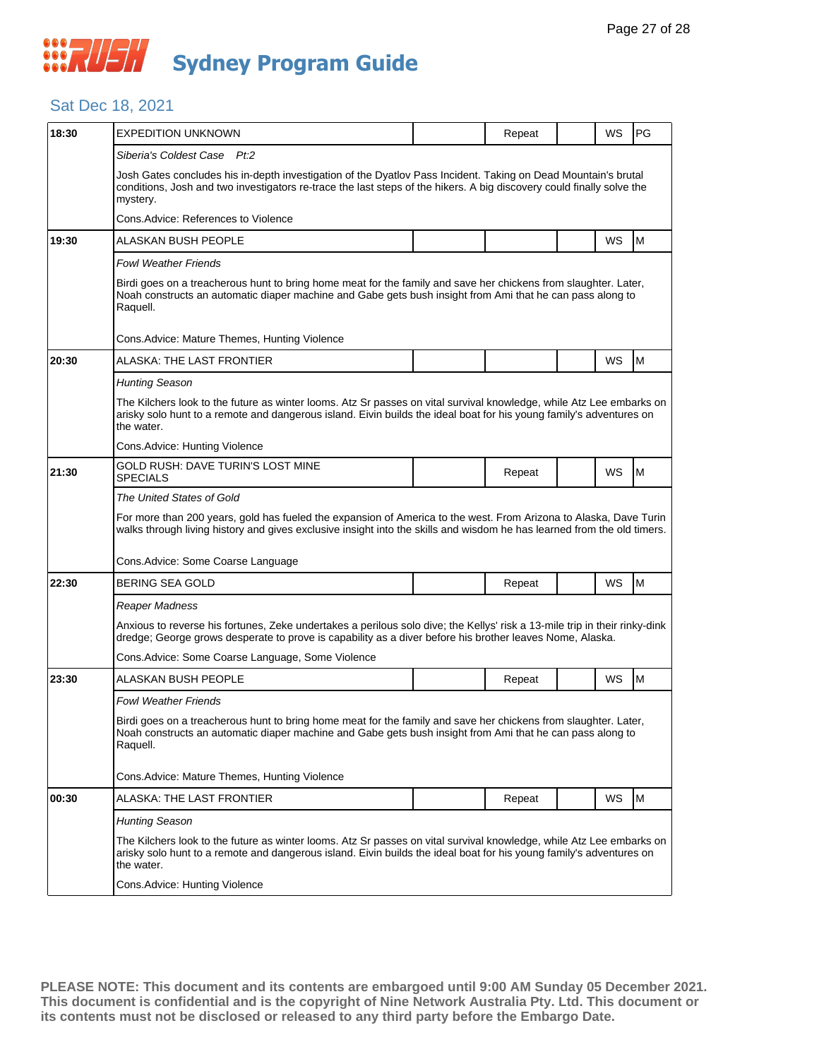#### Sat Dec 18, 2021

| 18:30 | EXPEDITION UNKNOWN                                                                                                                                                                                                                                                                 |  |        |  | WS | PG |  |  |  |
|-------|------------------------------------------------------------------------------------------------------------------------------------------------------------------------------------------------------------------------------------------------------------------------------------|--|--------|--|----|----|--|--|--|
|       |                                                                                                                                                                                                                                                                                    |  | Repeat |  |    |    |  |  |  |
|       | Siberia's Coldest Case Pt:2<br>Josh Gates concludes his in-depth investigation of the Dyatlov Pass Incident. Taking on Dead Mountain's brutal<br>conditions, Josh and two investigators re-trace the last steps of the hikers. A big discovery could finally solve the<br>mystery. |  |        |  |    |    |  |  |  |
|       | Cons.Advice: References to Violence                                                                                                                                                                                                                                                |  |        |  |    |    |  |  |  |
| 19:30 | ALASKAN BUSH PEOPLE                                                                                                                                                                                                                                                                |  |        |  | WS | M  |  |  |  |
|       | <b>Fowl Weather Friends</b>                                                                                                                                                                                                                                                        |  |        |  |    |    |  |  |  |
|       | Birdi goes on a treacherous hunt to bring home meat for the family and save her chickens from slaughter. Later,<br>Noah constructs an automatic diaper machine and Gabe gets bush insight from Ami that he can pass along to<br>Raquell.                                           |  |        |  |    |    |  |  |  |
|       | Cons. Advice: Mature Themes, Hunting Violence                                                                                                                                                                                                                                      |  |        |  |    |    |  |  |  |
| 20:30 | ALASKA: THE LAST FRONTIER                                                                                                                                                                                                                                                          |  |        |  | WS | M  |  |  |  |
|       | <b>Hunting Season</b>                                                                                                                                                                                                                                                              |  |        |  |    |    |  |  |  |
|       | The Kilchers look to the future as winter looms. Atz Sr passes on vital survival knowledge, while Atz Lee embarks on<br>arisky solo hunt to a remote and dangerous island. Eivin builds the ideal boat for his young family's adventures on<br>the water.                          |  |        |  |    |    |  |  |  |
|       | Cons.Advice: Hunting Violence                                                                                                                                                                                                                                                      |  |        |  |    |    |  |  |  |
| 21:30 | GOLD RUSH: DAVE TURIN'S LOST MINE<br><b>SPECIALS</b>                                                                                                                                                                                                                               |  | Repeat |  | WS | M  |  |  |  |
|       | The United States of Gold                                                                                                                                                                                                                                                          |  |        |  |    |    |  |  |  |
|       | For more than 200 years, gold has fueled the expansion of America to the west. From Arizona to Alaska, Dave Turin<br>walks through living history and gives exclusive insight into the skills and wisdom he has learned from the old timers.                                       |  |        |  |    |    |  |  |  |
|       | Cons. Advice: Some Coarse Language                                                                                                                                                                                                                                                 |  |        |  |    |    |  |  |  |
| 22:30 | BERING SEA GOLD                                                                                                                                                                                                                                                                    |  | Repeat |  | WS | M  |  |  |  |
|       | Reaper Madness                                                                                                                                                                                                                                                                     |  |        |  |    |    |  |  |  |
|       | Anxious to reverse his fortunes, Zeke undertakes a perilous solo dive; the Kellys' risk a 13-mile trip in their rinky-dink<br>dredge; George grows desperate to prove is capability as a diver before his brother leaves Nome, Alaska.                                             |  |        |  |    |    |  |  |  |
|       | Cons.Advice: Some Coarse Language, Some Violence                                                                                                                                                                                                                                   |  |        |  |    |    |  |  |  |
| 23:30 | ALASKAN BUSH PEOPLE                                                                                                                                                                                                                                                                |  | Repeat |  | WS | M  |  |  |  |
|       | Fowl Weather Friends                                                                                                                                                                                                                                                               |  |        |  |    |    |  |  |  |
|       | Birdi goes on a treacherous hunt to bring home meat for the family and save her chickens from slaughter. Later,<br>Noah constructs an automatic diaper machine and Gabe gets bush insight from Ami that he can pass along to<br>Raquell.                                           |  |        |  |    |    |  |  |  |
|       | Cons. Advice: Mature Themes, Hunting Violence                                                                                                                                                                                                                                      |  |        |  |    |    |  |  |  |
| 00:30 | ALASKA: THE LAST FRONTIER                                                                                                                                                                                                                                                          |  | Repeat |  | WS | M  |  |  |  |
|       | Hunting Season                                                                                                                                                                                                                                                                     |  |        |  |    |    |  |  |  |
|       | The Kilchers look to the future as winter looms. Atz Sr passes on vital survival knowledge, while Atz Lee embarks on<br>arisky solo hunt to a remote and dangerous island. Eivin builds the ideal boat for his young family's adventures on<br>the water.                          |  |        |  |    |    |  |  |  |
|       | Cons. Advice: Hunting Violence                                                                                                                                                                                                                                                     |  |        |  |    |    |  |  |  |
|       |                                                                                                                                                                                                                                                                                    |  |        |  |    |    |  |  |  |